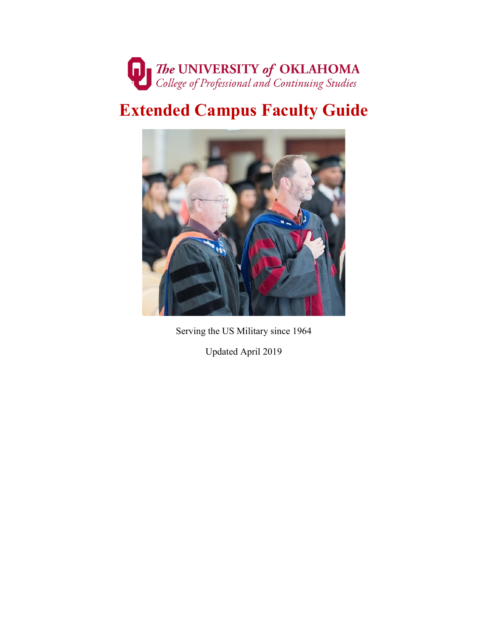

# **Extended Campus Faculty Guide**



Serving the US Military since 1964

Updated April 2019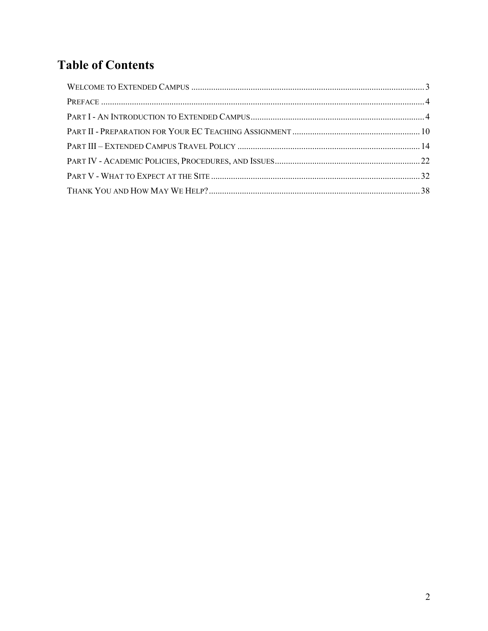# **Table of Contents**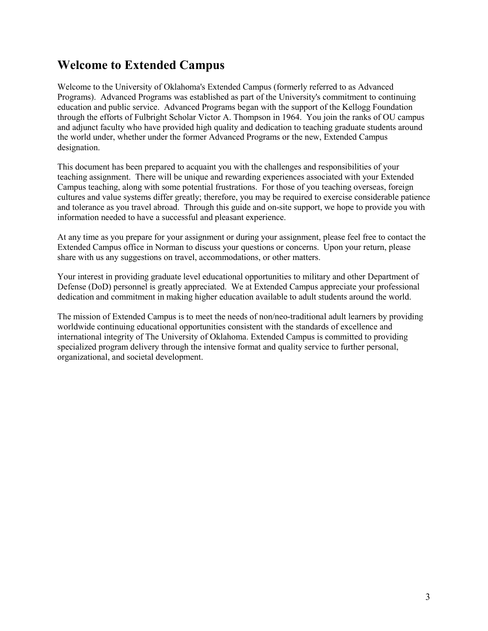# <span id="page-2-0"></span>**Welcome to Extended Campus**

Welcome to the University of Oklahoma's Extended Campus (formerly referred to as Advanced Programs). Advanced Programs was established as part of the University's commitment to continuing education and public service. Advanced Programs began with the support of the Kellogg Foundation through the efforts of Fulbright Scholar Victor A. Thompson in 1964. You join the ranks of OU campus and adjunct faculty who have provided high quality and dedication to teaching graduate students around the world under, whether under the former Advanced Programs or the new, Extended Campus designation.

This document has been prepared to acquaint you with the challenges and responsibilities of your teaching assignment. There will be unique and rewarding experiences associated with your Extended Campus teaching, along with some potential frustrations. For those of you teaching overseas, foreign cultures and value systems differ greatly; therefore, you may be required to exercise considerable patience and tolerance as you travel abroad. Through this guide and on-site support, we hope to provide you with information needed to have a successful and pleasant experience.

At any time as you prepare for your assignment or during your assignment, please feel free to contact the Extended Campus office in Norman to discuss your questions or concerns. Upon your return, please share with us any suggestions on travel, accommodations, or other matters.

Your interest in providing graduate level educational opportunities to military and other Department of Defense (DoD) personnel is greatly appreciated. We at Extended Campus appreciate your professional dedication and commitment in making higher education available to adult students around the world.

The mission of Extended Campus is to meet the needs of non/neo-traditional adult learners by providing worldwide continuing educational opportunities consistent with the standards of excellence and international integrity of The University of Oklahoma. Extended Campus is committed to providing specialized program delivery through the intensive format and quality service to further personal, organizational, and societal development.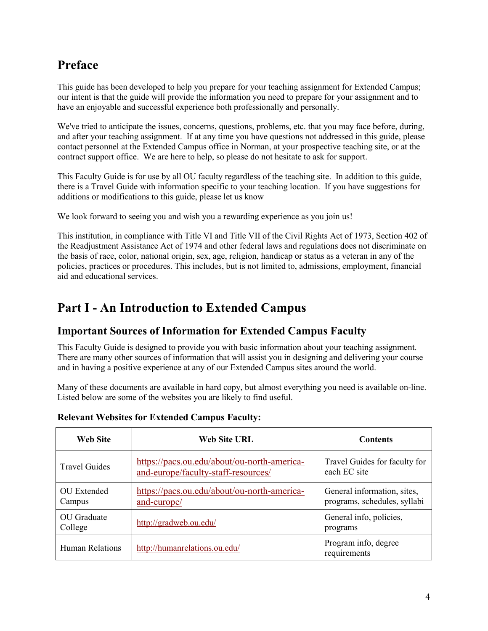# <span id="page-3-0"></span>**Preface**

This guide has been developed to help you prepare for your teaching assignment for Extended Campus; our intent is that the guide will provide the information you need to prepare for your assignment and to have an enjoyable and successful experience both professionally and personally.

We've tried to anticipate the issues, concerns, questions, problems, etc. that you may face before, during, and after your teaching assignment. If at any time you have questions not addressed in this guide, please contact personnel at the Extended Campus office in Norman, at your prospective teaching site, or at the contract support office. We are here to help, so please do not hesitate to ask for support.

This Faculty Guide is for use by all OU faculty regardless of the teaching site. In addition to this guide, there is a Travel Guide with information specific to your teaching location. If you have suggestions for additions or modifications to this guide, please let us know

We look forward to seeing you and wish you a rewarding experience as you join us!

This institution, in compliance with Title VI and Title VII of the Civil Rights Act of 1973, Section 402 of the Readjustment Assistance Act of 1974 and other federal laws and regulations does not discriminate on the basis of race, color, national origin, sex, age, religion, handicap or status as a veteran in any of the policies, practices or procedures. This includes, but is not limited to, admissions, employment, financial aid and educational services.

# <span id="page-3-1"></span>**Part I - An Introduction to Extended Campus**

### **Important Sources of Information for Extended Campus Faculty**

This Faculty Guide is designed to provide you with basic information about your teaching assignment. There are many other sources of information that will assist you in designing and delivering your course and in having a positive experience at any of our Extended Campus sites around the world.

Many of these documents are available in hard copy, but almost everything you need is available on-line. Listed below are some of the websites you are likely to find useful.

| Web Site               | Web Site URL                                                                       | <b>Contents</b>                                             |
|------------------------|------------------------------------------------------------------------------------|-------------------------------------------------------------|
| <b>Travel Guides</b>   | https://pacs.ou.edu/about/ou-north-america-<br>and-europe/faculty-staff-resources/ | Travel Guides for faculty for<br>each EC site               |
| OU Extended<br>Campus  | https://pacs.ou.edu/about/ou-north-america-<br>and-europe/                         | General information, sites,<br>programs, schedules, syllabi |
| OU Graduate<br>College | http://gradweb.ou.edu/                                                             | General info, policies,<br>programs                         |
| Human Relations        | http://humanrelations.ou.edu/                                                      | Program info, degree<br>requirements                        |

#### **Relevant Websites for Extended Campus Faculty:**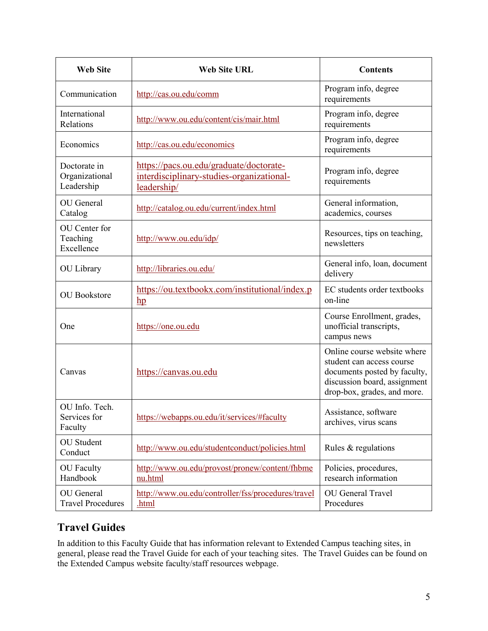| <b>Web Site</b>                              | <b>Web Site URL</b>                                                                                 | <b>Contents</b>                                                                                                                                         |
|----------------------------------------------|-----------------------------------------------------------------------------------------------------|---------------------------------------------------------------------------------------------------------------------------------------------------------|
| Communication                                | http://cas.ou.edu/comm                                                                              | Program info, degree<br>requirements                                                                                                                    |
| International<br>Relations                   | http://www.ou.edu/content/cis/mair.html                                                             | Program info, degree<br>requirements                                                                                                                    |
| Economics                                    | http://cas.ou.edu/economics                                                                         | Program info, degree<br>requirements                                                                                                                    |
| Doctorate in<br>Organizational<br>Leadership | https://pacs.ou.edu/graduate/doctorate-<br>interdisciplinary-studies-organizational-<br>leadership/ | Program info, degree<br>requirements                                                                                                                    |
| <b>OU</b> General<br>Catalog                 | http://catalog.ou.edu/current/index.html                                                            | General information,<br>academics, courses                                                                                                              |
| OU Center for<br>Teaching<br>Excellence      | http://www.ou.edu/idp/                                                                              | Resources, tips on teaching,<br>newsletters                                                                                                             |
| <b>OU</b> Library                            | http://libraries.ou.edu/                                                                            | General info, loan, document<br>delivery                                                                                                                |
| <b>OU</b> Bookstore                          | https://ou.textbookx.com/institutional/index.p<br>$\underline{hp}$                                  | EC students order textbooks<br>on-line                                                                                                                  |
| One                                          | https://one.ou.edu                                                                                  | Course Enrollment, grades,<br>unofficial transcripts,<br>campus news                                                                                    |
| Canvas                                       | https://canvas.ou.edu                                                                               | Online course website where<br>student can access course<br>documents posted by faculty,<br>discussion board, assignment<br>drop-box, grades, and more. |
| OU Info. Tech.<br>Services for<br>Faculty    | https://webapps.ou.edu/it/services/#faculty                                                         | Assistance, software<br>archives, virus scans                                                                                                           |
| OU Student<br>Conduct                        | http://www.ou.edu/studentconduct/policies.html                                                      | Rules & regulations                                                                                                                                     |
| <b>OU</b> Faculty<br>Handbook                | http://www.ou.edu/provost/pronew/content/fhbme<br>nu.html                                           | Policies, procedures,<br>research information                                                                                                           |
| OU General<br><b>Travel Procedures</b>       | http://www.ou.edu/controller/fss/procedures/travel<br>.html                                         | OU General Travel<br>Procedures                                                                                                                         |

# **Travel Guides**

In addition to this Faculty Guide that has information relevant to Extended Campus teaching sites, in general, please read the Travel Guide for each of your teaching sites. The Travel Guides can be found on the Extended Campus website faculty/staff resources webpage.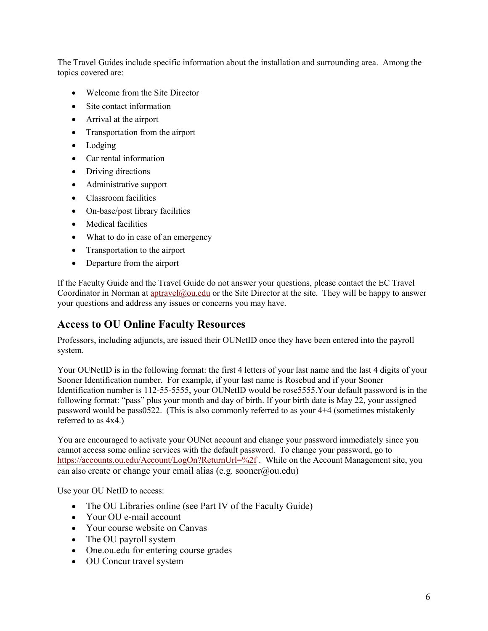The Travel Guides include specific information about the installation and surrounding area. Among the topics covered are:

- Welcome from the Site Director
- Site contact information
- Arrival at the airport
- Transportation from the airport
- Lodging
- Car rental information
- Driving directions
- Administrative support
- Classroom facilities
- On-base/post library facilities
- Medical facilities
- What to do in case of an emergency
- Transportation to the airport
- Departure from the airport

If the Faculty Guide and the Travel Guide do not answer your questions, please contact the EC Travel Coordinator in Norman at  $\frac{aptravel@ou.edu}{abvm}$  or the Site Director at the site. They will be happy to answer your questions and address any issues or concerns you may have.

### **Access to OU Online Faculty Resources**

Professors, including adjuncts, are issued their OUNetID once they have been entered into the payroll system.

Your OUNetID is in the following format: the first 4 letters of your last name and the last 4 digits of your Sooner Identification number. For example, if your last name is Rosebud and if your Sooner Identification number is 112-55-5555, your OUNetID would be rose5555.Your default password is in the following format: "pass" plus your month and day of birth. If your birth date is May 22, your assigned password would be pass0522. (This is also commonly referred to as your 4+4 (sometimes mistakenly referred to as 4x4.)

You are encouraged to activate your OUNet account and change your password immediately since you cannot access some online services with the default password. To change your password, go to <https://accounts.ou.edu/Account/LogOn?ReturnUrl=%2f>. While on the Account Management site, you can also create or change your email alias (e.g. sooner@ou.edu)

Use your OU NetID to access:

- The OU Libraries online (see Part IV of the Faculty Guide)
- Your OU e-mail account
- Your course website on Canvas
- The OU payroll system
- One.ou.edu for entering course grades
- OU Concur travel system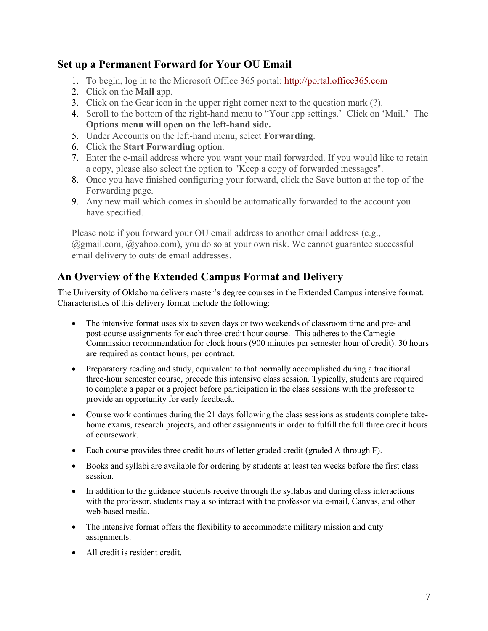### **Set up a Permanent Forward for Your OU Email**

- 1. To begin, log in to the Microsoft Office 365 portal: [http://portal.office365.com](http://portal.office365.com/)
- 2. Click on the **Mail** app.
- 3. Click on the Gear icon in the upper right corner next to the question mark (?).
- 4. Scroll to the bottom of the right-hand menu to "Your app settings.' Click on 'Mail.' The **Options menu will open on the left-hand side.**
- 5. Under Accounts on the left-hand menu, select **Forwarding**.
- 6. Click the **Start Forwarding** option.
- 7. Enter the e-mail address where you want your mail forwarded. If you would like to retain a copy, please also select the option to "Keep a copy of forwarded messages".
- 8. Once you have finished configuring your forward, click the Save button at the top of the Forwarding page.
- 9. Any new mail which comes in should be automatically forwarded to the account you have specified.

Please note if you forward your OU email address to another email address (e.g., @gmail.com, @yahoo.com), you do so at your own risk. We cannot guarantee successful email delivery to outside email addresses.

# **An Overview of the Extended Campus Format and Delivery**

The University of Oklahoma delivers master's degree courses in the Extended Campus intensive format. Characteristics of this delivery format include the following:

- The intensive format uses six to seven days or two weekends of classroom time and pre- and post-course assignments for each three-credit hour course. This adheres to the Carnegie Commission recommendation for clock hours (900 minutes per semester hour of credit). 30 hours are required as contact hours, per contract.
- Preparatory reading and study, equivalent to that normally accomplished during a traditional three-hour semester course, precede this intensive class session. Typically, students are required to complete a paper or a project before participation in the class sessions with the professor to provide an opportunity for early feedback.
- Course work continues during the 21 days following the class sessions as students complete takehome exams, research projects, and other assignments in order to fulfill the full three credit hours of coursework.
- Each course provides three credit hours of letter-graded credit (graded A through F).
- Books and syllabi are available for ordering by students at least ten weeks before the first class session.
- In addition to the guidance students receive through the syllabus and during class interactions with the professor, students may also interact with the professor via e-mail, Canvas, and other web-based media.
- The intensive format offers the flexibility to accommodate military mission and duty assignments.
- All credit is resident credit.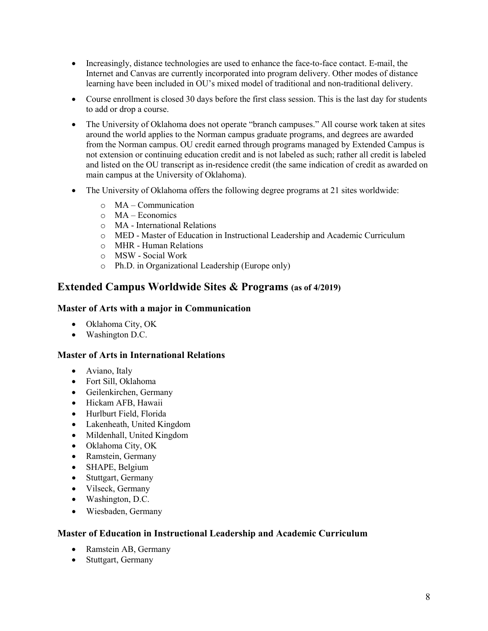- Increasingly, distance technologies are used to enhance the face-to-face contact. E-mail, the Internet and Canvas are currently incorporated into program delivery. Other modes of distance learning have been included in OU's mixed model of traditional and non-traditional delivery.
- Course enrollment is closed 30 days before the first class session. This is the last day for students to add or drop a course.
- The University of Oklahoma does not operate "branch campuses." All course work taken at sites around the world applies to the Norman campus graduate programs, and degrees are awarded from the Norman campus. OU credit earned through programs managed by Extended Campus is not extension or continuing education credit and is not labeled as such; rather all credit is labeled and listed on the OU transcript as in-residence credit (the same indication of credit as awarded on main campus at the University of Oklahoma).
- The University of Oklahoma offers the following degree programs at 21 sites worldwide:
	- o MA Communication
	- o MA Economics
	- o MA International Relations
	- o MED Master of Education in Instructional Leadership and Academic Curriculum
	- o MHR Human Relations
	- o MSW Social Work
	- o Ph.D. in Organizational Leadership (Europe only)

### **Extended Campus Worldwide Sites & Programs (as of 4/2019)**

#### **Master of Arts with a major in Communication**

- Oklahoma City, OK
- Washington D.C.

#### **Master of Arts in International Relations**

- Aviano, Italy
- Fort Sill, Oklahoma
- Geilenkirchen, Germany
- Hickam AFB, Hawaii
- Hurlburt Field, Florida
- Lakenheath, United Kingdom
- Mildenhall, United Kingdom
- Oklahoma City, OK
- Ramstein, Germany
- SHAPE, Belgium
- Stuttgart, Germany
- Vilseck, Germany
- Washington, D.C.
- Wiesbaden, Germany

#### **Master of Education in Instructional Leadership and Academic Curriculum**

- Ramstein AB, Germany
- Stuttgart, Germany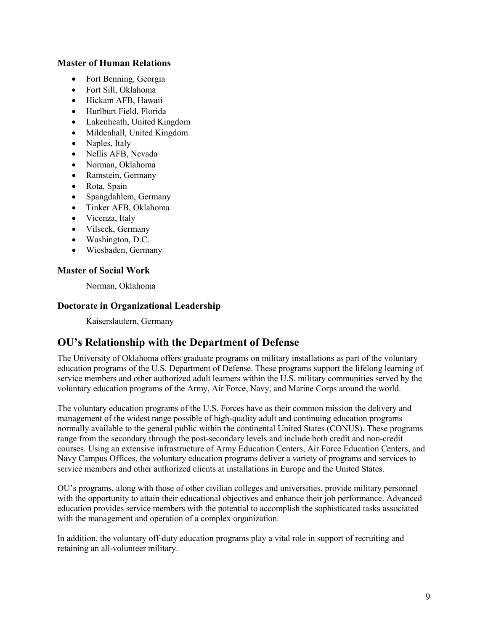#### **Master of Human Relations**

- Fort Benning, Georgia
- Fort Sill, Oklahoma
- Hickam AFB, Hawaii
- Hurlburt Field, Florida
- Lakenheath, United Kingdom
- Mildenhall, United Kingdom
- Naples, Italy
- Nellis AFB, Nevada
- Norman, Oklahoma
- Ramstein, Germany
- Rota, Spain
- Spangdahlem, Germany
- Tinker AFB, Oklahoma
- Vicenza, Italy
- Vilseck, Germany
- Washington, D.C.
- Wiesbaden, Germany

#### **Master of Social Work**

Norman, Oklahoma

#### **Doctorate in Organizational Leadership**

Kaiserslautern, Germany

### **OU's Relationship with the Department of Defense**

The University of Oklahoma offers graduate programs on military installations as part of the voluntary education programs of the U.S. Department of Defense. These programs support the lifelong learning of service members and other authorized adult learners within the U.S. military communities served by the voluntary education programs of the Army, Air Force, Navy, and Marine Corps around the world.

The voluntary education programs of the U.S. Forces have as their common mission the delivery and management of the widest range possible of high-quality adult and continuing education programs normally available to the general public within the continental United States (CONUS). These programs range from the secondary through the post-secondary levels and include both credit and non-credit courses. Using an extensive infrastructure of Army Education Centers, Air Force Education Centers, and Navy Campus Offices, the voluntary education programs deliver a variety of programs and services to service members and other authorized clients at installations in Europe and the United States.

OU's programs, along with those of other civilian colleges and universities, provide military personnel with the opportunity to attain their educational objectives and enhance their job performance. Advanced education provides service members with the potential to accomplish the sophisticated tasks associated with the management and operation of a complex organization.

In addition, the voluntary off-duty education programs play a vital role in support of recruiting and retaining an all-volunteer military.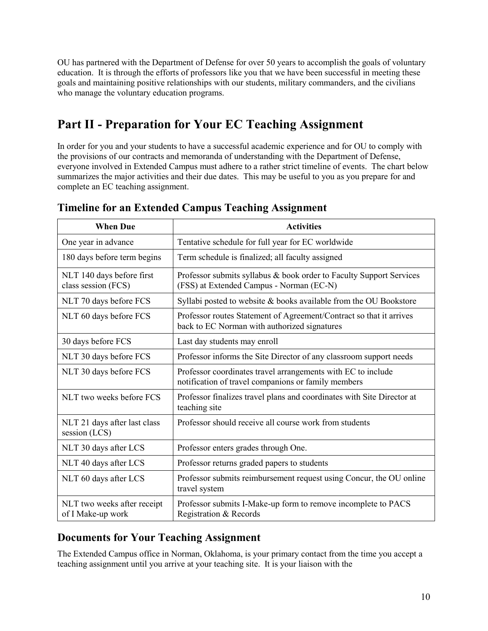OU has partnered with the Department of Defense for over 50 years to accomplish the goals of voluntary education. It is through the efforts of professors like you that we have been successful in meeting these goals and maintaining positive relationships with our students, military commanders, and the civilians who manage the voluntary education programs.

# <span id="page-9-0"></span>**Part II - Preparation for Your EC Teaching Assignment**

In order for you and your students to have a successful academic experience and for OU to comply with the provisions of our contracts and memoranda of understanding with the Department of Defense, everyone involved in Extended Campus must adhere to a rather strict timeline of events. The chart below summarizes the major activities and their due dates. This may be useful to you as you prepare for and complete an EC teaching assignment.

| <b>When Due</b>                                  | <b>Activities</b>                                                                                                   |  |  |
|--------------------------------------------------|---------------------------------------------------------------------------------------------------------------------|--|--|
| One year in advance                              | Tentative schedule for full year for EC worldwide                                                                   |  |  |
| 180 days before term begins                      | Term schedule is finalized; all faculty assigned                                                                    |  |  |
| NLT 140 days before first<br>class session (FCS) | Professor submits syllabus & book order to Faculty Support Services<br>(FSS) at Extended Campus - Norman (EC-N)     |  |  |
| NLT 70 days before FCS                           | Syllabi posted to website & books available from the OU Bookstore                                                   |  |  |
| NLT 60 days before FCS                           | Professor routes Statement of Agreement/Contract so that it arrives<br>back to EC Norman with authorized signatures |  |  |
| 30 days before FCS                               | Last day students may enroll                                                                                        |  |  |
| NLT 30 days before FCS                           | Professor informs the Site Director of any classroom support needs                                                  |  |  |
| NLT 30 days before FCS                           | Professor coordinates travel arrangements with EC to include<br>notification of travel companions or family members |  |  |
| NLT two weeks before FCS                         | Professor finalizes travel plans and coordinates with Site Director at<br>teaching site                             |  |  |
| NLT 21 days after last class<br>session (LCS)    | Professor should receive all course work from students                                                              |  |  |
| NLT 30 days after LCS                            | Professor enters grades through One.                                                                                |  |  |
| NLT 40 days after LCS                            | Professor returns graded papers to students                                                                         |  |  |
| NLT 60 days after LCS                            | Professor submits reimbursement request using Concur, the OU online<br>travel system                                |  |  |
| NLT two weeks after receipt<br>of I Make-up work | Professor submits I-Make-up form to remove incomplete to PACS<br>Registration & Records                             |  |  |

### **Timeline for an Extended Campus Teaching Assignment**

### **Documents for Your Teaching Assignment**

The Extended Campus office in Norman, Oklahoma, is your primary contact from the time you accept a teaching assignment until you arrive at your teaching site. It is your liaison with the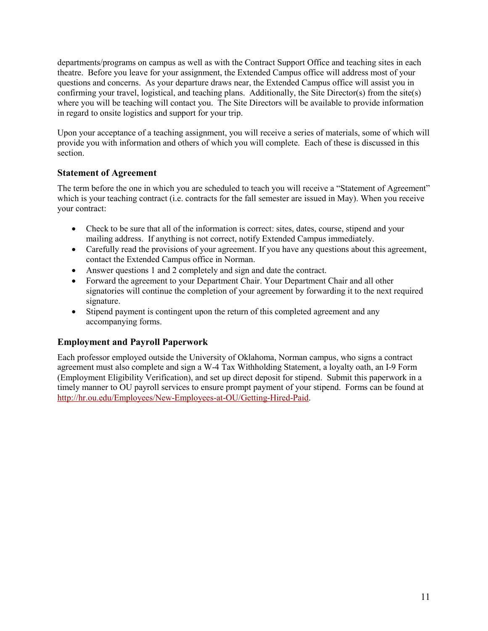departments/programs on campus as well as with the Contract Support Office and teaching sites in each theatre. Before you leave for your assignment, the Extended Campus office will address most of your questions and concerns. As your departure draws near, the Extended Campus office will assist you in confirming your travel, logistical, and teaching plans. Additionally, the Site Director(s) from the site(s) where you will be teaching will contact you. The Site Directors will be available to provide information in regard to onsite logistics and support for your trip.

Upon your acceptance of a teaching assignment, you will receive a series of materials, some of which will provide you with information and others of which you will complete. Each of these is discussed in this section.

#### **Statement of Agreement**

The term before the one in which you are scheduled to teach you will receive a "Statement of Agreement" which is your teaching contract (i.e. contracts for the fall semester are issued in May). When you receive your contract:

- Check to be sure that all of the information is correct: sites, dates, course, stipend and your mailing address. If anything is not correct, notify Extended Campus immediately.
- Carefully read the provisions of your agreement. If you have any questions about this agreement, contact the Extended Campus office in Norman.
- Answer questions 1 and 2 completely and sign and date the contract.
- Forward the agreement to your Department Chair. Your Department Chair and all other signatories will continue the completion of your agreement by forwarding it to the next required signature.
- Stipend payment is contingent upon the return of this completed agreement and any accompanying forms.

#### **Employment and Payroll Paperwork**

Each professor employed outside the University of Oklahoma, Norman campus, who signs a contract agreement must also complete and sign a W-4 Tax Withholding Statement, a loyalty oath, an I-9 Form (Employment Eligibility Verification), and set up direct deposit for stipend. Submit this paperwork in a timely manner to OU payroll services to ensure prompt payment of your stipend. Forms can be found at [http://hr.ou.edu/Employees/New-Employees-at-OU/Getting-Hired-Paid.](http://hr.ou.edu/Employees/New-Employees-at-OU/Getting-Hired-Paid)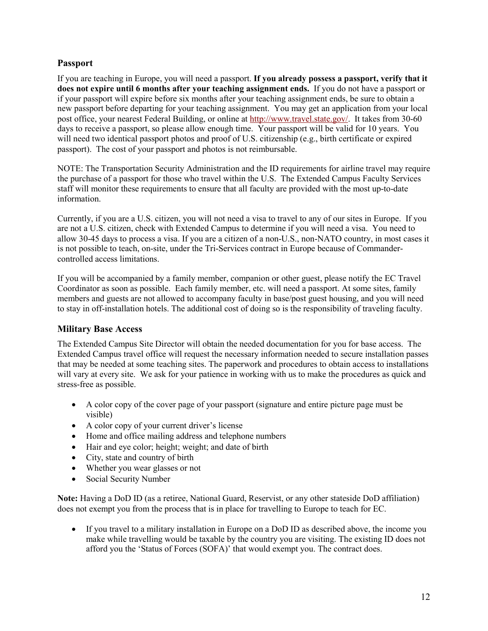#### **Passport**

If you are teaching in Europe, you will need a passport. **If you already possess a passport, verify that it does not expire until 6 months after your teaching assignment ends.** If you do not have a passport or if your passport will expire before six months after your teaching assignment ends, be sure to obtain a new passport before departing for your teaching assignment. You may get an application from your local post office, your nearest Federal Building, or online at [http://www.travel.state.gov/.](http://www.travel.state.gov/) It takes from 30-60 days to receive a passport, so please allow enough time. Your passport will be valid for 10 years. You will need two identical passport photos and proof of U.S. citizenship (e.g., birth certificate or expired passport). The cost of your passport and photos is not reimbursable.

NOTE: The Transportation Security Administration and the ID requirements for airline travel may require the purchase of a passport for those who travel within the U.S. The Extended Campus Faculty Services staff will monitor these requirements to ensure that all faculty are provided with the most up-to-date information.

Currently, if you are a U.S. citizen, you will not need a visa to travel to any of our sites in Europe. If you are not a U.S. citizen, check with Extended Campus to determine if you will need a visa. You need to allow 30-45 days to process a visa. If you are a citizen of a non-U.S., non-NATO country, in most cases it is not possible to teach, on-site, under the Tri-Services contract in Europe because of Commandercontrolled access limitations.

If you will be accompanied by a family member, companion or other guest, please notify the EC Travel Coordinator as soon as possible. Each family member, etc. will need a passport. At some sites, family members and guests are not allowed to accompany faculty in base/post guest housing, and you will need to stay in off-installation hotels. The additional cost of doing so is the responsibility of traveling faculty.

#### **Military Base Access**

The Extended Campus Site Director will obtain the needed documentation for you for base access. The Extended Campus travel office will request the necessary information needed to secure installation passes that may be needed at some teaching sites. The paperwork and procedures to obtain access to installations will vary at every site. We ask for your patience in working with us to make the procedures as quick and stress-free as possible.

- A color copy of the cover page of your passport (signature and entire picture page must be visible)
- A color copy of your current driver's license
- Home and office mailing address and telephone numbers
- Hair and eye color; height; weight; and date of birth
- City, state and country of birth
- Whether you wear glasses or not
- Social Security Number

**Note:** Having a DoD ID (as a retiree, National Guard, Reservist, or any other stateside DoD affiliation) does not exempt you from the process that is in place for travelling to Europe to teach for EC.

• If you travel to a military installation in Europe on a DoD ID as described above, the income you make while travelling would be taxable by the country you are visiting. The existing ID does not afford you the 'Status of Forces (SOFA)' that would exempt you. The contract does.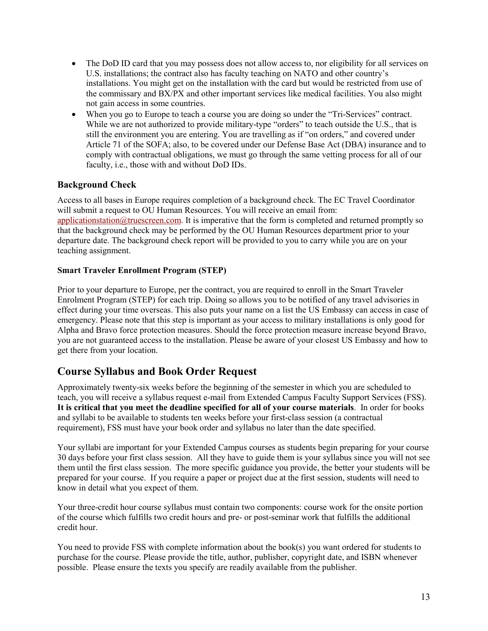- The DoD ID card that you may possess does not allow access to, nor eligibility for all services on U.S. installations; the contract also has faculty teaching on NATO and other country's installations. You might get on the installation with the card but would be restricted from use of the commissary and BX/PX and other important services like medical facilities. You also might not gain access in some countries.
- When you go to Europe to teach a course you are doing so under the "Tri-Services" contract. While we are not authorized to provide military-type "orders" to teach outside the U.S., that is still the environment you are entering. You are travelling as if "on orders," and covered under Article 71 of the SOFA; also, to be covered under our Defense Base Act (DBA) insurance and to comply with contractual obligations, we must go through the same vetting process for all of our faculty, i.e., those with and without DoD IDs.

#### **Background Check**

Access to all bases in Europe requires completion of a background check. The EC Travel Coordinator will submit a request to OU Human Resources. You will receive an email from: applicationstation $@$ truescreen.com. It is imperative that the form is completed and returned promptly so that the background check may be performed by the OU Human Resources department prior to your departure date. The background check report will be provided to you to carry while you are on your teaching assignment.

#### **Smart Traveler Enrollment Program (STEP)**

Prior to your departure to Europe, per the contract, you are required to enroll in the Smart Traveler Enrolment Program (STEP) for each trip. Doing so allows you to be notified of any travel advisories in effect during your time overseas. This also puts your name on a list the US Embassy can access in case of emergency. Please note that this step is important as your access to military installations is only good for Alpha and Bravo force protection measures. Should the force protection measure increase beyond Bravo, you are not guaranteed access to the installation. Please be aware of your closest US Embassy and how to get there from your location.

# **Course Syllabus and Book Order Request**

Approximately twenty-six weeks before the beginning of the semester in which you are scheduled to teach, you will receive a syllabus request e-mail from Extended Campus Faculty Support Services (FSS). **It is critical that you meet the deadline specified for all of your course materials**. In order for books and syllabi to be available to students ten weeks before your first-class session (a contractual requirement), FSS must have your book order and syllabus no later than the date specified.

Your syllabi are important for your Extended Campus courses as students begin preparing for your course 30 days before your first class session. All they have to guide them is your syllabus since you will not see them until the first class session. The more specific guidance you provide, the better your students will be prepared for your course. If you require a paper or project due at the first session, students will need to know in detail what you expect of them.

Your three-credit hour course syllabus must contain two components: course work for the onsite portion of the course which fulfills two credit hours and pre- or post-seminar work that fulfills the additional credit hour.

You need to provide FSS with complete information about the book(s) you want ordered for students to purchase for the course. Please provide the title, author, publisher, copyright date, and ISBN whenever possible. Please ensure the texts you specify are readily available from the publisher.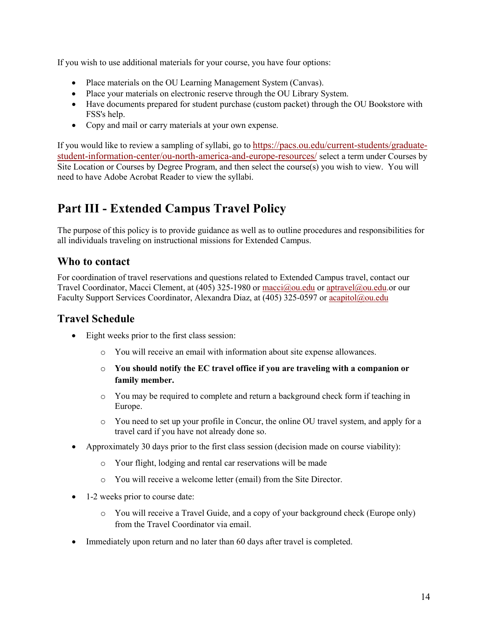If you wish to use additional materials for your course, you have four options:

- Place materials on the OU Learning Management System (Canvas).
- Place your materials on electronic reserve through the OU Library System.
- Have documents prepared for student purchase (custom packet) through the OU Bookstore with FSS's help.
- Copy and mail or carry materials at your own expense.

If you would like to review a sampling of syllabi, go to [https://pacs.ou.edu/current-students/graduate](https://pacs.ou.edu/current-students/graduate-student-information-center/ou-north-america-and-europe-resources/)[student-information-center/ou-north-america-and-europe-resources/](https://pacs.ou.edu/current-students/graduate-student-information-center/ou-north-america-and-europe-resources/) select a term under Courses by Site Location or Courses by Degree Program, and then select the course(s) you wish to view. You will need to have Adobe Acrobat Reader to view the syllabi.

# <span id="page-13-0"></span>**Part III - Extended Campus Travel Policy**

The purpose of this policy is to provide guidance as well as to outline procedures and responsibilities for all individuals traveling on instructional missions for Extended Campus.

#### **Who to contact**

For coordination of travel reservations and questions related to Extended Campus travel, contact our Travel Coordinator, Macci Clement, at (405) 325-1980 or [macci@ou.edu](mailto:macci@ou.edu) or [aptravel@ou.edu.](mailto:aptravel@ou.edu)or our Faculty Support Services Coordinator, Alexandra Diaz, at (405) 325-0597 or [acapitol@ou.edu](mailto:acapitol@ou.edu)

### **Travel Schedule**

- Eight weeks prior to the first class session:
	- o You will receive an email with information about site expense allowances.
	- o **You should notify the EC travel office if you are traveling with a companion or family member.**
	- o You may be required to complete and return a background check form if teaching in Europe.
	- o You need to set up your profile in Concur, the online OU travel system, and apply for a travel card if you have not already done so.
- Approximately 30 days prior to the first class session (decision made on course viability):
	- o Your flight, lodging and rental car reservations will be made
	- o You will receive a welcome letter (email) from the Site Director.
- 1-2 weeks prior to course date:
	- o You will receive a Travel Guide, and a copy of your background check (Europe only) from the Travel Coordinator via email.
- Immediately upon return and no later than 60 days after travel is completed.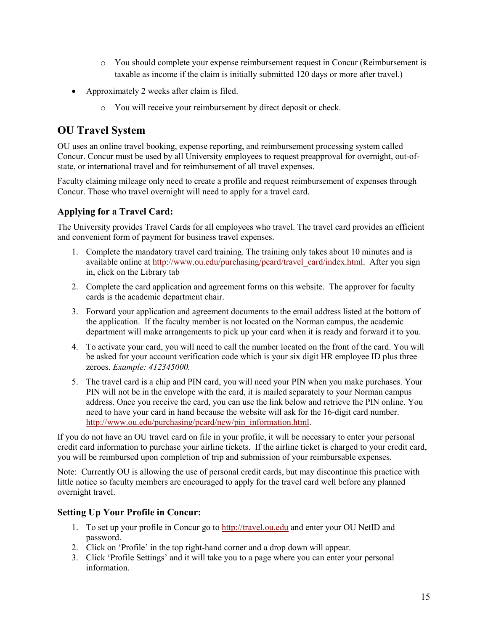- o You should complete your expense reimbursement request in Concur (Reimbursement is taxable as income if the claim is initially submitted 120 days or more after travel.)
- Approximately 2 weeks after claim is filed.
	- o You will receive your reimbursement by direct deposit or check.

# **OU Travel System**

OU uses an online travel booking, expense reporting, and reimbursement processing system called Concur. Concur must be used by all University employees to request preapproval for overnight, out-ofstate, or international travel and for reimbursement of all travel expenses.

Faculty claiming mileage only need to create a profile and request reimbursement of expenses through Concur. Those who travel overnight will need to apply for a travel card.

#### **Applying for a Travel Card:**

The University provides Travel Cards for all employees who travel. The travel card provides an efficient and convenient form of payment for business travel expenses.

- 1. Complete the mandatory travel card training. The training only takes about 10 minutes and is available online at [http://www.ou.edu/purchasing/pcard/travel\\_card/index.html.](http://www.ou.edu/purchasing/pcard/travel_card/index.html) After you sign in, click on the Library tab
- 2. Complete the card application and agreement forms on this website. The approver for faculty cards is the academic department chair.
- 3. Forward your application and agreement documents to the email address listed at the bottom of the application. If the faculty member is not located on the Norman campus, the academic department will make arrangements to pick up your card when it is ready and forward it to you.
- 4. To activate your card, you will need to call the number located on the front of the card. You will be asked for your account verification code which is your six digit HR employee ID plus three zeroes. *Example: 412345000.*
- 5. The travel card is a chip and PIN card, you will need your PIN when you make purchases. Your PIN will not be in the envelope with the card, it is mailed separately to your Norman campus address. Once you receive the card, you can use the link below and retrieve the PIN online. You need to have your card in hand because the website will ask for the 16-digit card number. [http://www.ou.edu/purchasing/pcard/new/pin\\_information.html.](http://www.ou.edu/purchasing/pcard/new/pin_information.html)

If you do not have an OU travel card on file in your profile, it will be necessary to enter your personal credit card information to purchase your airline tickets. If the airline ticket is charged to your credit card, you will be reimbursed upon completion of trip and submission of your reimbursable expenses.

Note: Currently OU is allowing the use of personal credit cards, but may discontinue this practice with little notice so faculty members are encouraged to apply for the travel card well before any planned overnight travel.

#### **Setting Up Your Profile in Concur:**

- 1. To set up your profile in Concur go to [http://travel.ou.edu](http://travel.ou.edu/) and enter your OU NetID and password.
- 2. Click on 'Profile' in the top right-hand corner and a drop down will appear.
- 3. Click 'Profile Settings' and it will take you to a page where you can enter your personal information.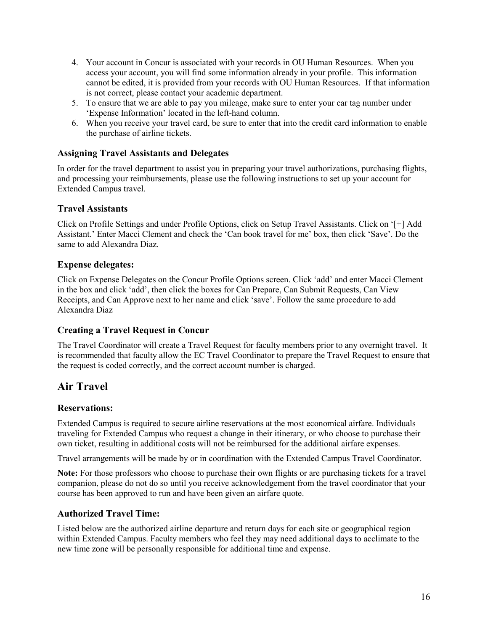- 4. Your account in Concur is associated with your records in OU Human Resources. When you access your account, you will find some information already in your profile. This information cannot be edited, it is provided from your records with OU Human Resources. If that information is not correct, please contact your academic department.
- 5. To ensure that we are able to pay you mileage, make sure to enter your car tag number under 'Expense Information' located in the left-hand column.
- 6. When you receive your travel card, be sure to enter that into the credit card information to enable the purchase of airline tickets.

#### **Assigning Travel Assistants and Delegates**

In order for the travel department to assist you in preparing your travel authorizations, purchasing flights, and processing your reimbursements, please use the following instructions to set up your account for Extended Campus travel.

#### **Travel Assistants**

Click on Profile Settings and under Profile Options, click on Setup Travel Assistants. Click on '[+] Add Assistant.' Enter Macci Clement and check the 'Can book travel for me' box, then click 'Save'. Do the same to add Alexandra Diaz.

#### **Expense delegates:**

Click on Expense Delegates on the Concur Profile Options screen. Click 'add' and enter Macci Clement in the box and click 'add', then click the boxes for Can Prepare, Can Submit Requests, Can View Receipts, and Can Approve next to her name and click 'save'. Follow the same procedure to add Alexandra Diaz

#### **Creating a Travel Request in Concur**

The Travel Coordinator will create a Travel Request for faculty members prior to any overnight travel. It is recommended that faculty allow the EC Travel Coordinator to prepare the Travel Request to ensure that the request is coded correctly, and the correct account number is charged.

### **Air Travel**

#### **Reservations:**

Extended Campus is required to secure airline reservations at the most economical airfare. Individuals traveling for Extended Campus who request a change in their itinerary, or who choose to purchase their own ticket, resulting in additional costs will not be reimbursed for the additional airfare expenses.

Travel arrangements will be made by or in coordination with the Extended Campus Travel Coordinator.

**Note:** For those professors who choose to purchase their own flights or are purchasing tickets for a travel companion, please do not do so until you receive acknowledgement from the travel coordinator that your course has been approved to run and have been given an airfare quote.

#### **Authorized Travel Time:**

Listed below are the authorized airline departure and return days for each site or geographical region within Extended Campus. Faculty members who feel they may need additional days to acclimate to the new time zone will be personally responsible for additional time and expense.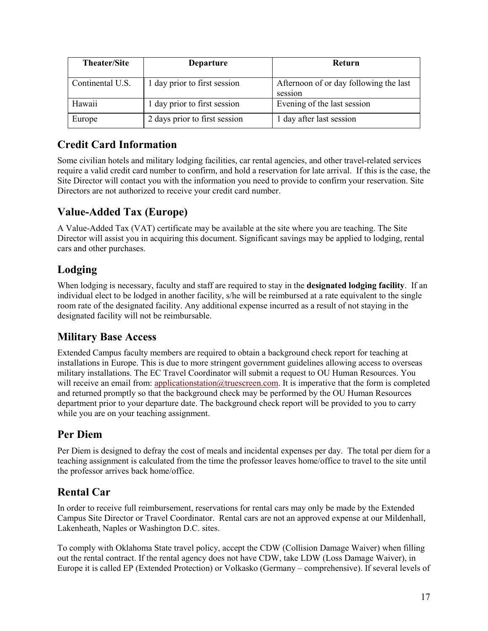| <b>Theater/Site</b> | <b>Departure</b>              | <b>Return</b>                                     |
|---------------------|-------------------------------|---------------------------------------------------|
| Continental U.S.    | 1 day prior to first session  | Afternoon of or day following the last<br>session |
| Hawaii              | 1 day prior to first session  | Evening of the last session                       |
| Europe              | 2 days prior to first session | 1 day after last session                          |

# **Credit Card Information**

Some civilian hotels and military lodging facilities, car rental agencies, and other travel-related services require a valid credit card number to confirm, and hold a reservation for late arrival. If this is the case, the Site Director will contact you with the information you need to provide to confirm your reservation. Site Directors are not authorized to receive your credit card number.

# **Value-Added Tax (Europe)**

A Value-Added Tax (VAT) certificate may be available at the site where you are teaching. The Site Director will assist you in acquiring this document. Significant savings may be applied to lodging, rental cars and other purchases.

# **Lodging**

When lodging is necessary, faculty and staff are required to stay in the **designated lodging facility**. If an individual elect to be lodged in another facility, s/he will be reimbursed at a rate equivalent to the single room rate of the designated facility. Any additional expense incurred as a result of not staying in the designated facility will not be reimbursable.

# **Military Base Access**

Extended Campus faculty members are required to obtain a background check report for teaching at installations in Europe. This is due to more stringent government guidelines allowing access to overseas military installations. The EC Travel Coordinator will submit a request to OU Human Resources. You will receive an email from: [applicationstation@truescreen.com.](mailto:applicationstation@truescreen.com) It is imperative that the form is completed and returned promptly so that the background check may be performed by the OU Human Resources department prior to your departure date. The background check report will be provided to you to carry while you are on your teaching assignment.

# **Per Diem**

Per Diem is designed to defray the cost of meals and incidental expenses per day. The total per diem for a teaching assignment is calculated from the time the professor leaves home/office to travel to the site until the professor arrives back home/office.

# **Rental Car**

In order to receive full reimbursement, reservations for rental cars may only be made by the Extended Campus Site Director or Travel Coordinator. Rental cars are not an approved expense at our Mildenhall, Lakenheath, Naples or Washington D.C. sites.

To comply with Oklahoma State travel policy, accept the CDW (Collision Damage Waiver) when filling out the rental contract. If the rental agency does not have CDW, take LDW (Loss Damage Waiver), in Europe it is called EP (Extended Protection) or Volkasko (Germany – comprehensive). If several levels of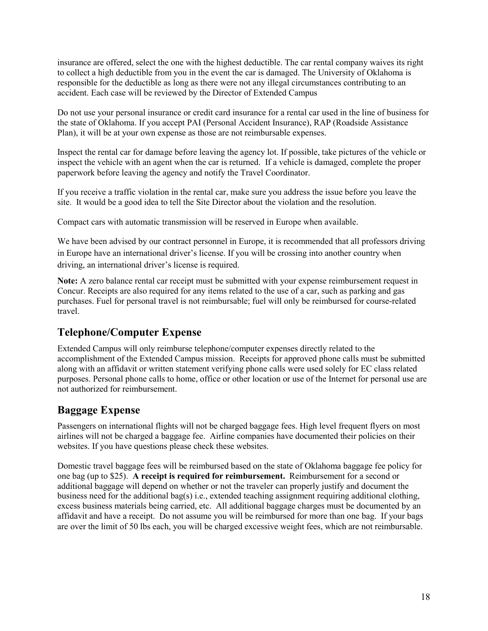insurance are offered, select the one with the highest deductible. The car rental company waives its right to collect a high deductible from you in the event the car is damaged. The University of Oklahoma is responsible for the deductible as long as there were not any illegal circumstances contributing to an accident. Each case will be reviewed by the Director of Extended Campus

Do not use your personal insurance or credit card insurance for a rental car used in the line of business for the state of Oklahoma. If you accept PAI (Personal Accident Insurance), RAP (Roadside Assistance Plan), it will be at your own expense as those are not reimbursable expenses.

Inspect the rental car for damage before leaving the agency lot. If possible, take pictures of the vehicle or inspect the vehicle with an agent when the car is returned. If a vehicle is damaged, complete the proper paperwork before leaving the agency and notify the Travel Coordinator.

If you receive a traffic violation in the rental car, make sure you address the issue before you leave the site. It would be a good idea to tell the Site Director about the violation and the resolution.

Compact cars with automatic transmission will be reserved in Europe when available.

We have been advised by our contract personnel in Europe, it is recommended that all professors driving in Europe have an international driver's license. If you will be crossing into another country when driving, an international driver's license is required.

**Note:** A zero balance rental car receipt must be submitted with your expense reimbursement request in Concur. Receipts are also required for any items related to the use of a car, such as parking and gas purchases. Fuel for personal travel is not reimbursable; fuel will only be reimbursed for course-related travel.

### **Telephone/Computer Expense**

Extended Campus will only reimburse telephone/computer expenses directly related to the accomplishment of the Extended Campus mission. Receipts for approved phone calls must be submitted along with an affidavit or written statement verifying phone calls were used solely for EC class related purposes. Personal phone calls to home, office or other location or use of the Internet for personal use are not authorized for reimbursement.

### **Baggage Expense**

Passengers on international flights will not be charged baggage fees. High level frequent flyers on most airlines will not be charged a baggage fee. Airline companies have documented their policies on their websites. If you have questions please check these websites.

Domestic travel baggage fees will be reimbursed based on the state of Oklahoma baggage fee policy for one bag (up to \$25). **A receipt is required for reimbursement.** Reimbursement for a second or additional baggage will depend on whether or not the traveler can properly justify and document the business need for the additional bag(s) i.e., extended teaching assignment requiring additional clothing, excess business materials being carried, etc. All additional baggage charges must be documented by an affidavit and have a receipt. Do not assume you will be reimbursed for more than one bag. If your bags are over the limit of 50 lbs each, you will be charged excessive weight fees, which are not reimbursable.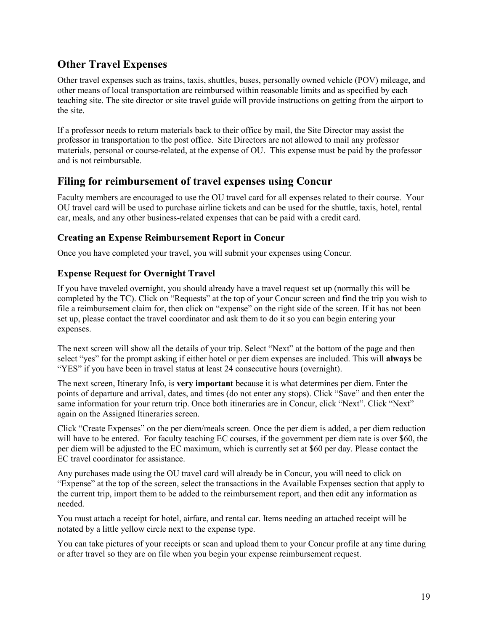## **Other Travel Expenses**

Other travel expenses such as trains, taxis, shuttles, buses, personally owned vehicle (POV) mileage, and other means of local transportation are reimbursed within reasonable limits and as specified by each teaching site. The site director or site travel guide will provide instructions on getting from the airport to the site.

If a professor needs to return materials back to their office by mail, the Site Director may assist the professor in transportation to the post office. Site Directors are not allowed to mail any professor materials, personal or course-related, at the expense of OU. This expense must be paid by the professor and is not reimbursable.

### **Filing for reimbursement of travel expenses using Concur**

Faculty members are encouraged to use the OU travel card for all expenses related to their course. Your OU travel card will be used to purchase airline tickets and can be used for the shuttle, taxis, hotel, rental car, meals, and any other business-related expenses that can be paid with a credit card.

#### **Creating an Expense Reimbursement Report in Concur**

Once you have completed your travel, you will submit your expenses using Concur.

#### **Expense Request for Overnight Travel**

If you have traveled overnight, you should already have a travel request set up (normally this will be completed by the TC). Click on "Requests" at the top of your Concur screen and find the trip you wish to file a reimbursement claim for, then click on "expense" on the right side of the screen. If it has not been set up, please contact the travel coordinator and ask them to do it so you can begin entering your expenses.

The next screen will show all the details of your trip. Select "Next" at the bottom of the page and then select "yes" for the prompt asking if either hotel or per diem expenses are included. This will **always** be "YES" if you have been in travel status at least 24 consecutive hours (overnight).

The next screen, Itinerary Info, is **very important** because it is what determines per diem. Enter the points of departure and arrival, dates, and times (do not enter any stops). Click "Save" and then enter the same information for your return trip. Once both itineraries are in Concur, click "Next". Click "Next" again on the Assigned Itineraries screen.

Click "Create Expenses" on the per diem/meals screen. Once the per diem is added, a per diem reduction will have to be entered. For faculty teaching EC courses, if the government per diem rate is over \$60, the per diem will be adjusted to the EC maximum, which is currently set at \$60 per day. Please contact the EC travel coordinator for assistance.

Any purchases made using the OU travel card will already be in Concur, you will need to click on "Expense" at the top of the screen, select the transactions in the Available Expenses section that apply to the current trip, import them to be added to the reimbursement report, and then edit any information as needed.

You must attach a receipt for hotel, airfare, and rental car. Items needing an attached receipt will be notated by a little yellow circle next to the expense type.

You can take pictures of your receipts or scan and upload them to your Concur profile at any time during or after travel so they are on file when you begin your expense reimbursement request.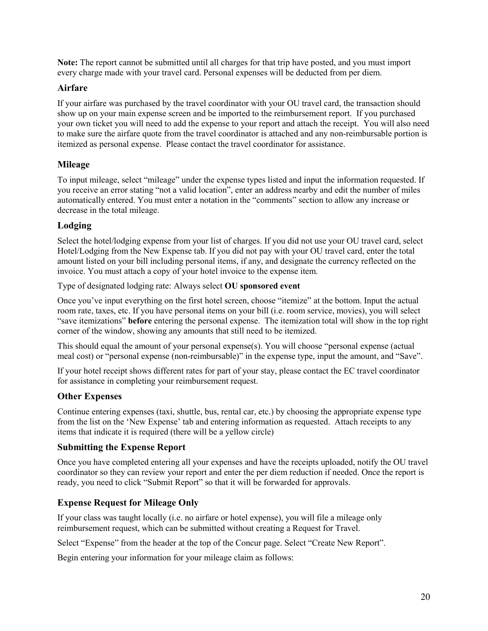**Note:** The report cannot be submitted until all charges for that trip have posted, and you must import every charge made with your travel card. Personal expenses will be deducted from per diem.

#### **Airfare**

If your airfare was purchased by the travel coordinator with your OU travel card, the transaction should show up on your main expense screen and be imported to the reimbursement report. If you purchased your own ticket you will need to add the expense to your report and attach the receipt. You will also need to make sure the airfare quote from the travel coordinator is attached and any non-reimbursable portion is itemized as personal expense. Please contact the travel coordinator for assistance.

#### **Mileage**

To input mileage, select "mileage" under the expense types listed and input the information requested. If you receive an error stating "not a valid location", enter an address nearby and edit the number of miles automatically entered. You must enter a notation in the "comments" section to allow any increase or decrease in the total mileage.

#### **Lodging**

Select the hotel/lodging expense from your list of charges. If you did not use your OU travel card, select Hotel/Lodging from the New Expense tab. If you did not pay with your OU travel card, enter the total amount listed on your bill including personal items, if any, and designate the currency reflected on the invoice. You must attach a copy of your hotel invoice to the expense item.

Type of designated lodging rate: Always select **OU sponsored event**

Once you've input everything on the first hotel screen, choose "itemize" at the bottom. Input the actual room rate, taxes, etc. If you have personal items on your bill (i.e. room service, movies), you will select "save itemizations" **before** entering the personal expense. The itemization total will show in the top right corner of the window, showing any amounts that still need to be itemized.

This should equal the amount of your personal expense(s). You will choose "personal expense (actual meal cost) or "personal expense (non-reimbursable)" in the expense type, input the amount, and "Save".

If your hotel receipt shows different rates for part of your stay, please contact the EC travel coordinator for assistance in completing your reimbursement request.

#### **Other Expenses**

Continue entering expenses (taxi, shuttle, bus, rental car, etc.) by choosing the appropriate expense type from the list on the 'New Expense' tab and entering information as requested. Attach receipts to any items that indicate it is required (there will be a yellow circle)

#### **Submitting the Expense Report**

Once you have completed entering all your expenses and have the receipts uploaded, notify the OU travel coordinator so they can review your report and enter the per diem reduction if needed. Once the report is ready, you need to click "Submit Report" so that it will be forwarded for approvals.

#### **Expense Request for Mileage Only**

If your class was taught locally (i.e. no airfare or hotel expense), you will file a mileage only reimbursement request, which can be submitted without creating a Request for Travel.

Select "Expense" from the header at the top of the Concur page. Select "Create New Report".

Begin entering your information for your mileage claim as follows: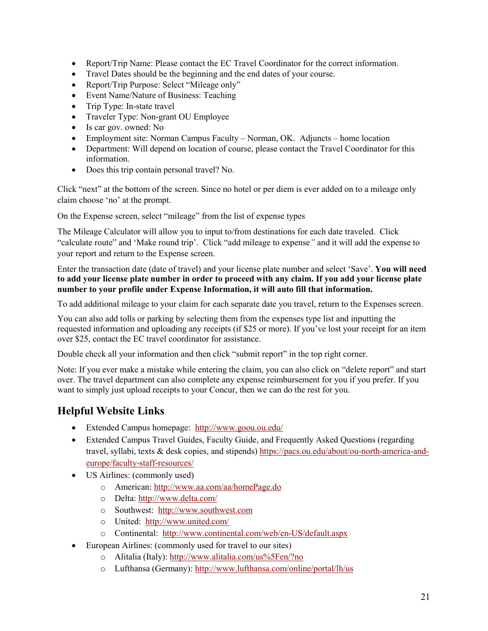- Report/Trip Name: Please contact the EC Travel Coordinator for the correct information.
- Travel Dates should be the beginning and the end dates of your course.
- Report/Trip Purpose: Select "Mileage only"
- Event Name/Nature of Business: Teaching
- Trip Type: In-state travel
- Traveler Type: Non-grant OU Employee
- Is car gov. owned: No
- Employment site: Norman Campus Faculty Norman, OK. Adjuncts home location
- Department: Will depend on location of course, please contact the Travel Coordinator for this information.
- Does this trip contain personal travel? No.

Click "next" at the bottom of the screen. Since no hotel or per diem is ever added on to a mileage only claim choose 'no' at the prompt.

On the Expense screen, select "mileage" from the list of expense types

The Mileage Calculator will allow you to input to/from destinations for each date traveled. Click "calculate route" and 'Make round trip'. Click "add mileage to expense*"* and it will add the expense to your report and return to the Expense screen.

Enter the transaction date (date of travel) and your license plate number and select 'Save'. **You will need to add your license plate number in order to proceed with any claim. If you add your license plate number to your profile under Expense Information, it will auto fill that information.**

To add additional mileage to your claim for each separate date you travel, return to the Expenses screen.

You can also add tolls or parking by selecting them from the expenses type list and inputting the requested information and uploading any receipts (if \$25 or more). If you've lost your receipt for an item over \$25, contact the EC travel coordinator for assistance.

Double check all your information and then click "submit report" in the top right corner.

Note: If you ever make a mistake while entering the claim, you can also click on "delete report" and start over. The travel department can also complete any expense reimbursement for you if you prefer. If you want to simply just upload receipts to your Concur, then we can do the rest for you.

# **Helpful Website Links**

- Extended Campus homepage: <http://www.goou.ou.edu/>
- Extended Campus Travel Guides, Faculty Guide, and Frequently Asked Questions (regarding travel, syllabi, texts & desk copies, and stipends) [https://pacs.ou.edu/about/ou-north-america-and](https://pacs.ou.edu/about/ou-north-america-and-europe/faculty-staff-resources/)[europe/faculty-staff-resources/](https://pacs.ou.edu/about/ou-north-america-and-europe/faculty-staff-resources/)
- US Airlines: (commonly used)
	- o American:<http://www.aa.com/aa/homePage.do>
	- o Delta:<http://www.delta.com/>
	- o Southwest: [http://www.southwest.com](http://www.southwest.com/)
	- o United: <http://www.united.com/>
	- o Continental: <http://www.continental.com/web/en-US/default.aspx>
- European Airlines: (commonly used for travel to our sites)
	- o Alitalia (Italy): [http://www.alitalia.com/us%5Fen/?no](http://www.alitalia.com/us_en/?no)
	- o Lufthansa (Germany):<http://www.lufthansa.com/online/portal/lh/us>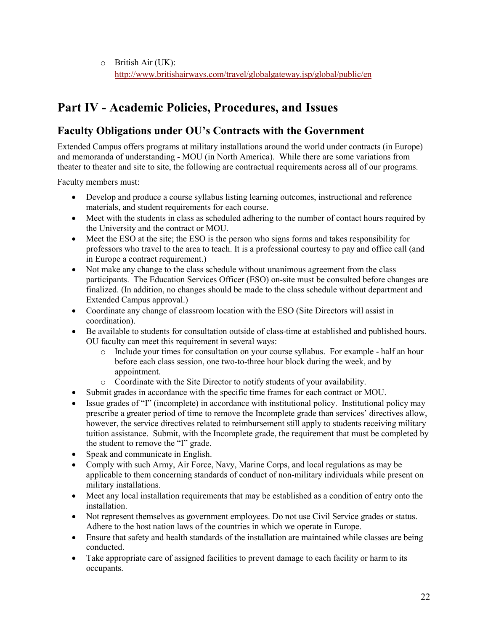o British Air (UK): <http://www.britishairways.com/travel/globalgateway.jsp/global/public/en>

# <span id="page-21-0"></span>**Part IV - Academic Policies, Procedures, and Issues**

# **Faculty Obligations under OU's Contracts with the Government**

Extended Campus offers programs at military installations around the world under contracts (in Europe) and memoranda of understanding - MOU (in North America). While there are some variations from theater to theater and site to site, the following are contractual requirements across all of our programs.

Faculty members must:

- Develop and produce a course syllabus listing learning outcomes, instructional and reference materials, and student requirements for each course.
- Meet with the students in class as scheduled adhering to the number of contact hours required by the University and the contract or MOU.
- Meet the ESO at the site; the ESO is the person who signs forms and takes responsibility for professors who travel to the area to teach. It is a professional courtesy to pay and office call (and in Europe a contract requirement.)
- Not make any change to the class schedule without unanimous agreement from the class participants. The Education Services Officer (ESO) on-site must be consulted before changes are finalized. (In addition, no changes should be made to the class schedule without department and Extended Campus approval.)
- Coordinate any change of classroom location with the ESO (Site Directors will assist in coordination).
- Be available to students for consultation outside of class-time at established and published hours. OU faculty can meet this requirement in several ways:
	- o Include your times for consultation on your course syllabus. For example half an hour before each class session, one two-to-three hour block during the week, and by appointment.
	- o Coordinate with the Site Director to notify students of your availability.
- Submit grades in accordance with the specific time frames for each contract or MOU.
- Issue grades of "I" (incomplete) in accordance with institutional policy. Institutional policy may prescribe a greater period of time to remove the Incomplete grade than services' directives allow, however, the service directives related to reimbursement still apply to students receiving military tuition assistance. Submit, with the Incomplete grade, the requirement that must be completed by the student to remove the "I" grade.
- Speak and communicate in English.
- Comply with such Army, Air Force, Navy, Marine Corps, and local regulations as may be applicable to them concerning standards of conduct of non-military individuals while present on military installations.
- Meet any local installation requirements that may be established as a condition of entry onto the installation.
- Not represent themselves as government employees. Do not use Civil Service grades or status. Adhere to the host nation laws of the countries in which we operate in Europe.
- Ensure that safety and health standards of the installation are maintained while classes are being conducted.
- Take appropriate care of assigned facilities to prevent damage to each facility or harm to its occupants.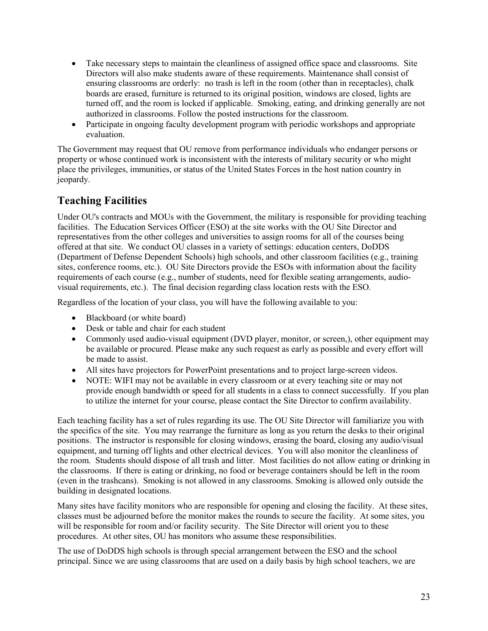- Take necessary steps to maintain the cleanliness of assigned office space and classrooms. Site Directors will also make students aware of these requirements. Maintenance shall consist of ensuring classrooms are orderly: no trash is left in the room (other than in receptacles), chalk boards are erased, furniture is returned to its original position, windows are closed, lights are turned off, and the room is locked if applicable. Smoking, eating, and drinking generally are not authorized in classrooms. Follow the posted instructions for the classroom.
- Participate in ongoing faculty development program with periodic workshops and appropriate evaluation.

The Government may request that OU remove from performance individuals who endanger persons or property or whose continued work is inconsistent with the interests of military security or who might place the privileges, immunities, or status of the United States Forces in the host nation country in jeopardy.

# **Teaching Facilities**

Under OU's contracts and MOUs with the Government, the military is responsible for providing teaching facilities. The Education Services Officer (ESO) at the site works with the OU Site Director and representatives from the other colleges and universities to assign rooms for all of the courses being offered at that site. We conduct OU classes in a variety of settings: education centers, DoDDS (Department of Defense Dependent Schools) high schools, and other classroom facilities (e.g., training sites, conference rooms, etc.). OU Site Directors provide the ESOs with information about the facility requirements of each course (e.g., number of students, need for flexible seating arrangements, audiovisual requirements, etc.). The final decision regarding class location rests with the ESO*.*

Regardless of the location of your class, you will have the following available to you:

- Blackboard (or white board)
- Desk or table and chair for each student
- Commonly used audio-visual equipment (DVD player, monitor, or screen,), other equipment may be available or procured. Please make any such request as early as possible and every effort will be made to assist.
- All sites have projectors for PowerPoint presentations and to project large-screen videos.
- NOTE: WIFI may not be available in every classroom or at every teaching site or may not provide enough bandwidth or speed for all students in a class to connect successfully. If you plan to utilize the internet for your course, please contact the Site Director to confirm availability.

Each teaching facility has a set of rules regarding its use. The OU Site Director will familiarize you with the specifics of the site. You may rearrange the furniture as long as you return the desks to their original positions. The instructor is responsible for closing windows, erasing the board, closing any audio/visual equipment, and turning off lights and other electrical devices. You will also monitor the cleanliness of the room. Students should dispose of all trash and litter. Most facilities do not allow eating or drinking in the classrooms. If there is eating or drinking, no food or beverage containers should be left in the room (even in the trashcans). Smoking is not allowed in any classrooms. Smoking is allowed only outside the building in designated locations.

Many sites have facility monitors who are responsible for opening and closing the facility. At these sites, classes must be adjourned before the monitor makes the rounds to secure the facility. At some sites, you will be responsible for room and/or facility security. The Site Director will orient you to these procedures. At other sites, OU has monitors who assume these responsibilities.

The use of DoDDS high schools is through special arrangement between the ESO and the school principal. Since we are using classrooms that are used on a daily basis by high school teachers, we are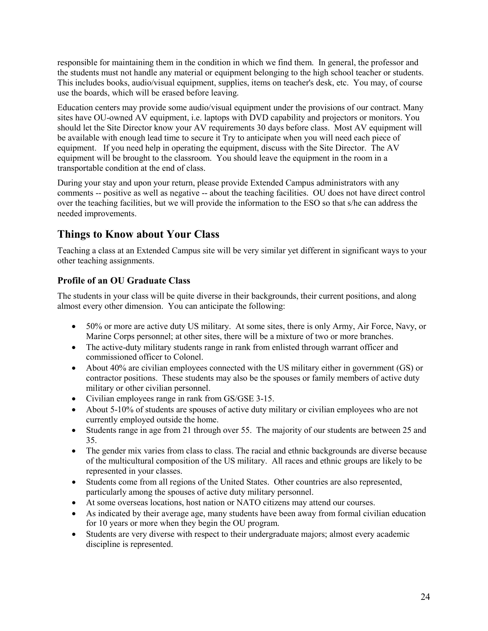responsible for maintaining them in the condition in which we find them. In general, the professor and the students must not handle any material or equipment belonging to the high school teacher or students. This includes books, audio/visual equipment, supplies, items on teacher's desk, etc. You may, of course use the boards, which will be erased before leaving.

Education centers may provide some audio/visual equipment under the provisions of our contract. Many sites have OU-owned AV equipment, i.e. laptops with DVD capability and projectors or monitors. You should let the Site Director know your AV requirements 30 days before class. Most AV equipment will be available with enough lead time to secure it Try to anticipate when you will need each piece of equipment. If you need help in operating the equipment, discuss with the Site Director. The AV equipment will be brought to the classroom. You should leave the equipment in the room in a transportable condition at the end of class.

During your stay and upon your return, please provide Extended Campus administrators with any comments -- positive as well as negative -- about the teaching facilities. OU does not have direct control over the teaching facilities, but we will provide the information to the ESO so that s/he can address the needed improvements.

# **Things to Know about Your Class**

Teaching a class at an Extended Campus site will be very similar yet different in significant ways to your other teaching assignments.

### **Profile of an OU Graduate Class**

The students in your class will be quite diverse in their backgrounds, their current positions, and along almost every other dimension. You can anticipate the following:

- 50% or more are active duty US military. At some sites, there is only Army, Air Force, Navy, or Marine Corps personnel; at other sites, there will be a mixture of two or more branches.
- The active-duty military students range in rank from enlisted through warrant officer and commissioned officer to Colonel.
- About 40% are civilian employees connected with the US military either in government (GS) or contractor positions. These students may also be the spouses or family members of active duty military or other civilian personnel.
- Civilian employees range in rank from GS/GSE 3-15.
- About 5-10% of students are spouses of active duty military or civilian employees who are not currently employed outside the home.
- Students range in age from 21 through over 55. The majority of our students are between 25 and 35.
- The gender mix varies from class to class. The racial and ethnic backgrounds are diverse because of the multicultural composition of the US military. All races and ethnic groups are likely to be represented in your classes.
- Students come from all regions of the United States. Other countries are also represented, particularly among the spouses of active duty military personnel.
- At some overseas locations, host nation or NATO citizens may attend our courses.
- As indicated by their average age, many students have been away from formal civilian education for 10 years or more when they begin the OU program.
- Students are very diverse with respect to their undergraduate majors; almost every academic discipline is represented.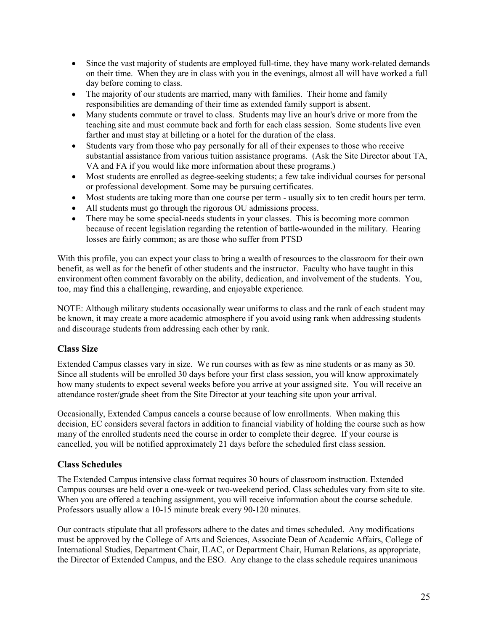- Since the vast majority of students are employed full-time, they have many work-related demands on their time. When they are in class with you in the evenings, almost all will have worked a full day before coming to class.
- The majority of our students are married, many with families. Their home and family responsibilities are demanding of their time as extended family support is absent.
- Many students commute or travel to class. Students may live an hour's drive or more from the teaching site and must commute back and forth for each class session. Some students live even farther and must stay at billeting or a hotel for the duration of the class.
- Students vary from those who pay personally for all of their expenses to those who receive substantial assistance from various tuition assistance programs. (Ask the Site Director about TA, VA and FA if you would like more information about these programs.)
- Most students are enrolled as degree-seeking students; a few take individual courses for personal or professional development. Some may be pursuing certificates.
- Most students are taking more than one course per term usually six to ten credit hours per term.
- All students must go through the rigorous OU admissions process.
- There may be some special-needs students in your classes. This is becoming more common because of recent legislation regarding the retention of battle-wounded in the military. Hearing losses are fairly common; as are those who suffer from PTSD

With this profile, you can expect your class to bring a wealth of resources to the classroom for their own benefit, as well as for the benefit of other students and the instructor. Faculty who have taught in this environment often comment favorably on the ability, dedication, and involvement of the students. You, too, may find this a challenging, rewarding, and enjoyable experience.

NOTE: Although military students occasionally wear uniforms to class and the rank of each student may be known, it may create a more academic atmosphere if you avoid using rank when addressing students and discourage students from addressing each other by rank.

#### **Class Size**

Extended Campus classes vary in size. We run courses with as few as nine students or as many as 30. Since all students will be enrolled 30 days before your first class session, you will know approximately how many students to expect several weeks before you arrive at your assigned site. You will receive an attendance roster/grade sheet from the Site Director at your teaching site upon your arrival.

Occasionally, Extended Campus cancels a course because of low enrollments. When making this decision, EC considers several factors in addition to financial viability of holding the course such as how many of the enrolled students need the course in order to complete their degree. If your course is cancelled, you will be notified approximately 21 days before the scheduled first class session.

#### **Class Schedules**

The Extended Campus intensive class format requires 30 hours of classroom instruction. Extended Campus courses are held over a one-week or two-weekend period. Class schedules vary from site to site. When you are offered a teaching assignment, you will receive information about the course schedule. Professors usually allow a 10-15 minute break every 90-120 minutes.

Our contracts stipulate that all professors adhere to the dates and times scheduled. Any modifications must be approved by the College of Arts and Sciences, Associate Dean of Academic Affairs, College of International Studies, Department Chair, ILAC, or Department Chair, Human Relations, as appropriate, the Director of Extended Campus, and the ESO. Any change to the class schedule requires unanimous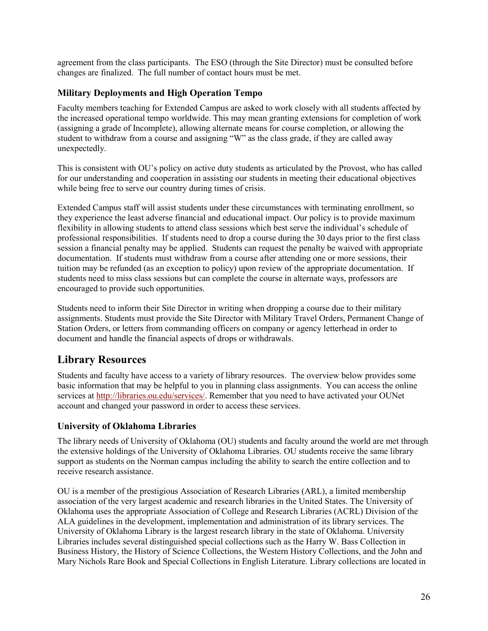agreement from the class participants. The ESO (through the Site Director) must be consulted before changes are finalized. The full number of contact hours must be met.

#### **Military Deployments and High Operation Tempo**

Faculty members teaching for Extended Campus are asked to work closely with all students affected by the increased operational tempo worldwide. This may mean granting extensions for completion of work (assigning a grade of Incomplete), allowing alternate means for course completion, or allowing the student to withdraw from a course and assigning "W" as the class grade, if they are called away unexpectedly.

This is consistent with OU's policy on active duty students as articulated by the Provost, who has called for our understanding and cooperation in assisting our students in meeting their educational objectives while being free to serve our country during times of crisis.

Extended Campus staff will assist students under these circumstances with terminating enrollment, so they experience the least adverse financial and educational impact. Our policy is to provide maximum flexibility in allowing students to attend class sessions which best serve the individual's schedule of professional responsibilities. If students need to drop a course during the 30 days prior to the first class session a financial penalty may be applied. Students can request the penalty be waived with appropriate documentation. If students must withdraw from a course after attending one or more sessions, their tuition may be refunded (as an exception to policy) upon review of the appropriate documentation. If students need to miss class sessions but can complete the course in alternate ways, professors are encouraged to provide such opportunities.

Students need to inform their Site Director in writing when dropping a course due to their military assignments. Students must provide the Site Director with Military Travel Orders, Permanent Change of Station Orders, or letters from commanding officers on company or agency letterhead in order to document and handle the financial aspects of drops or withdrawals.

### **Library Resources**

Students and faculty have access to a variety of library resources. The overview below provides some basic information that may be helpful to you in planning class assignments. You can access the online services at [http://libraries.ou.edu/services/.](http://libraries.ou.edu/services/) Remember that you need to have activated your OUNet account and changed your password in order to access these services.

#### **University of Oklahoma Libraries**

The library needs of University of Oklahoma (OU) students and faculty around the world are met through the extensive holdings of the University of Oklahoma Libraries. OU students receive the same library support as students on the Norman campus including the ability to search the entire collection and to receive research assistance.

OU is a member of the prestigious Association of Research Libraries (ARL), a limited membership association of the very largest academic and research libraries in the United States. The University of Oklahoma uses the appropriate Association of College and Research Libraries (ACRL) Division of the ALA guidelines in the development, implementation and administration of its library services. The University of Oklahoma Library is the largest research library in the state of Oklahoma. University Libraries includes several distinguished special collections such as the Harry W. Bass Collection in Business History, the History of Science Collections, the Western History Collections, and the John and Mary Nichols Rare Book and Special Collections in English Literature. Library collections are located in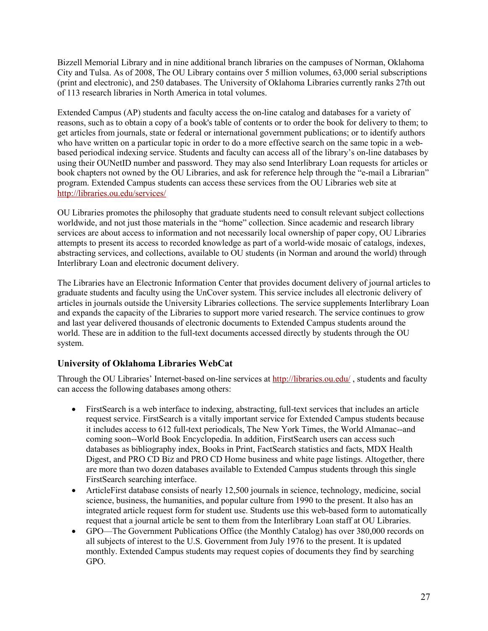Bizzell Memorial Library and in nine additional branch libraries on the campuses of Norman, Oklahoma City and Tulsa. As of 2008, The OU Library contains over 5 million volumes, 63,000 serial subscriptions (print and electronic), and 250 databases. The University of Oklahoma Libraries currently ranks 27th out of 113 research libraries in North America in total volumes.

Extended Campus (AP) students and faculty access the on-line catalog and databases for a variety of reasons, such as to obtain a copy of a book's table of contents or to order the book for delivery to them; to get articles from journals, state or federal or international government publications; or to identify authors who have written on a particular topic in order to do a more effective search on the same topic in a webbased periodical indexing service. Students and faculty can access all of the library's on-line databases by using their OUNetID number and password. They may also send Interlibrary Loan requests for articles or book chapters not owned by the OU Libraries, and ask for reference help through the "e-mail a Librarian" program. Extended Campus students can access these services from the OU Libraries web site at <http://libraries.ou.edu/services/>

OU Libraries promotes the philosophy that graduate students need to consult relevant subject collections worldwide, and not just those materials in the "home" collection. Since academic and research library services are about access to information and not necessarily local ownership of paper copy, OU Libraries attempts to present its access to recorded knowledge as part of a world-wide mosaic of catalogs, indexes, abstracting services, and collections, available to OU students (in Norman and around the world) through Interlibrary Loan and electronic document delivery.

The Libraries have an Electronic Information Center that provides document delivery of journal articles to graduate students and faculty using the UnCover system. This service includes all electronic delivery of articles in journals outside the University Libraries collections. The service supplements Interlibrary Loan and expands the capacity of the Libraries to support more varied research. The service continues to grow and last year delivered thousands of electronic documents to Extended Campus students around the world. These are in addition to the full-text documents accessed directly by students through the OU system.

#### **University of Oklahoma Libraries WebCat**

Through the OU Libraries' Internet-based on-line services at<http://libraries.ou.edu/> , students and faculty can access the following databases among others:

- FirstSearch is a web interface to indexing, abstracting, full-text services that includes an article request service. FirstSearch is a vitally important service for Extended Campus students because it includes access to 612 full-text periodicals, The New York Times, the World Almanac--and coming soon--World Book Encyclopedia. In addition, FirstSearch users can access such databases as bibliography index, Books in Print, FactSearch statistics and facts, MDX Health Digest, and PRO CD Biz and PRO CD Home business and white page listings. Altogether, there are more than two dozen databases available to Extended Campus students through this single FirstSearch searching interface.
- ArticleFirst database consists of nearly 12,500 journals in science, technology, medicine, social science, business, the humanities, and popular culture from 1990 to the present. It also has an integrated article request form for student use. Students use this web-based form to automatically request that a journal article be sent to them from the Interlibrary Loan staff at OU Libraries.
- GPO—The Government Publications Office (the Monthly Catalog) has over 380,000 records on all subjects of interest to the U.S. Government from July 1976 to the present. It is updated monthly. Extended Campus students may request copies of documents they find by searching GPO.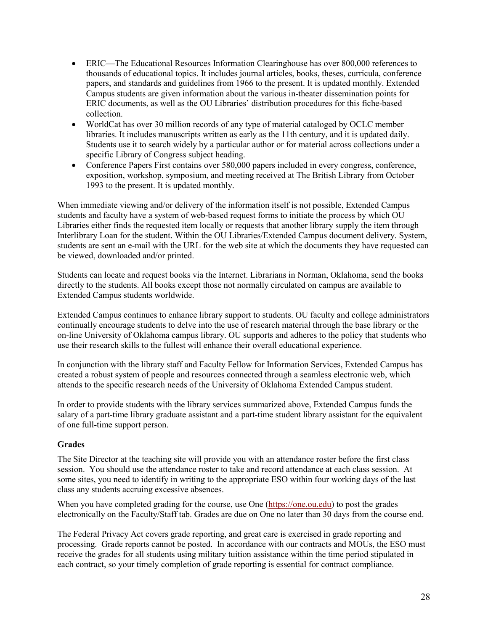- ERIC—The Educational Resources Information Clearinghouse has over 800,000 references to thousands of educational topics. It includes journal articles, books, theses, curricula, conference papers, and standards and guidelines from 1966 to the present. It is updated monthly. Extended Campus students are given information about the various in-theater dissemination points for ERIC documents, as well as the OU Libraries' distribution procedures for this fiche-based collection.
- WorldCat has over 30 million records of any type of material cataloged by OCLC member libraries. It includes manuscripts written as early as the 11th century, and it is updated daily. Students use it to search widely by a particular author or for material across collections under a specific Library of Congress subject heading.
- Conference Papers First contains over 580,000 papers included in every congress, conference, exposition, workshop, symposium, and meeting received at The British Library from October 1993 to the present. It is updated monthly.

When immediate viewing and/or delivery of the information itself is not possible, Extended Campus students and faculty have a system of web-based request forms to initiate the process by which OU Libraries either finds the requested item locally or requests that another library supply the item through Interlibrary Loan for the student. Within the OU Libraries/Extended Campus document delivery. System, students are sent an e-mail with the URL for the web site at which the documents they have requested can be viewed, downloaded and/or printed.

Students can locate and request books via the Internet. Librarians in Norman, Oklahoma, send the books directly to the students. All books except those not normally circulated on campus are available to Extended Campus students worldwide.

Extended Campus continues to enhance library support to students. OU faculty and college administrators continually encourage students to delve into the use of research material through the base library or the on-line University of Oklahoma campus library. OU supports and adheres to the policy that students who use their research skills to the fullest will enhance their overall educational experience.

In conjunction with the library staff and Faculty Fellow for Information Services, Extended Campus has created a robust system of people and resources connected through a seamless electronic web, which attends to the specific research needs of the University of Oklahoma Extended Campus student.

In order to provide students with the library services summarized above, Extended Campus funds the salary of a part-time library graduate assistant and a part-time student library assistant for the equivalent of one full-time support person.

#### **Grades**

The Site Director at the teaching site will provide you with an attendance roster before the first class session. You should use the attendance roster to take and record attendance at each class session. At some sites, you need to identify in writing to the appropriate ESO within four working days of the last class any students accruing excessive absences.

When you have completed grading for the course, use One [\(https://one.ou.edu\)](https://one.ou.edu/) to post the grades electronically on the Faculty/Staff tab. Grades are due on One no later than 30 days from the course end.

The Federal Privacy Act covers grade reporting, and great care is exercised in grade reporting and processing. Grade reports cannot be posted. In accordance with our contracts and MOUs, the ESO must receive the grades for all students using military tuition assistance within the time period stipulated in each contract, so your timely completion of grade reporting is essential for contract compliance.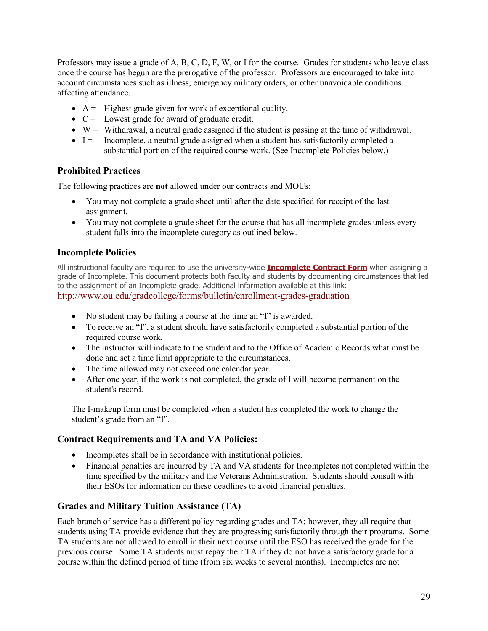Professors may issue a grade of A, B, C, D, F, W, or I for the course. Grades for students who leave class once the course has begun are the prerogative of the professor. Professors are encouraged to take into account circumstances such as illness, emergency military orders, or other unavoidable conditions affecting attendance.

- $A =$  Highest grade given for work of exceptional quality.
- $C =$  Lowest grade for award of graduate credit.
- $W =$  Withdrawal, a neutral grade assigned if the student is passing at the time of withdrawal.
- $I =$  Incomplete, a neutral grade assigned when a student has satisfactorily completed a substantial portion of the required course work. (See Incomplete Policies below.)

#### **Prohibited Practices**

The following practices are **not** allowed under our contracts and MOUs:

- You may not complete a grade sheet until after the date specified for receipt of the last assignment.
- You may not complete a grade sheet for the course that has all incomplete grades unless every student falls into the incomplete category as outlined below.

#### **Incomplete Policies**

All instructional faculty are required to use the university-wide **[Incomplete Contract Form](http://www.ou.edu/provost/memos/memos111111)** when assigning a grade of Incomplete. This document protects both faculty and students by documenting circumstances that led to the assignment of an Incomplete grade. Additional information available at this link: <http://www.ou.edu/gradcollege/forms/bulletin/enrollment-grades-graduation>

- No student may be failing a course at the time an "I" is awarded.
- To receive an "I", a student should have satisfactorily completed a substantial portion of the required course work.
- The instructor will indicate to the student and to the Office of Academic Records what must be done and set a time limit appropriate to the circumstances.
- The time allowed may not exceed one calendar year.
- After one year, if the work is not completed, the grade of I will become permanent on the student's record.

The I-makeup form must be completed when a student has completed the work to change the student's grade from an "I".

#### **Contract Requirements and TA and VA Policies:**

- Incompletes shall be in accordance with institutional policies.
- Financial penalties are incurred by TA and VA students for Incompletes not completed within the time specified by the military and the Veterans Administration. Students should consult with their ESOs for information on these deadlines to avoid financial penalties.

#### **Grades and Military Tuition Assistance (TA)**

Each branch of service has a different policy regarding grades and TA; however, they all require that students using TA provide evidence that they are progressing satisfactorily through their programs. Some TA students are not allowed to enroll in their next course until the ESO has received the grade for the previous course. Some TA students must repay their TA if they do not have a satisfactory grade for a course within the defined period of time (from six weeks to several months). Incompletes are not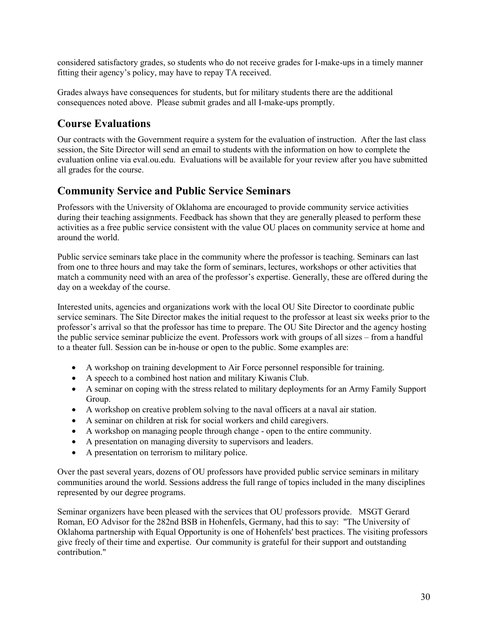considered satisfactory grades, so students who do not receive grades for I-make-ups in a timely manner fitting their agency's policy, may have to repay TA received.

Grades always have consequences for students, but for military students there are the additional consequences noted above. Please submit grades and all I-make-ups promptly.

# **Course Evaluations**

Our contracts with the Government require a system for the evaluation of instruction. After the last class session, the Site Director will send an email to students with the information on how to complete the evaluation online via eval.ou.edu. Evaluations will be available for your review after you have submitted all grades for the course.

## **Community Service and Public Service Seminars**

Professors with the University of Oklahoma are encouraged to provide community service activities during their teaching assignments. Feedback has shown that they are generally pleased to perform these activities as a free public service consistent with the value OU places on community service at home and around the world.

Public service seminars take place in the community where the professor is teaching. Seminars can last from one to three hours and may take the form of seminars, lectures, workshops or other activities that match a community need with an area of the professor's expertise. Generally, these are offered during the day on a weekday of the course.

Interested units, agencies and organizations work with the local OU Site Director to coordinate public service seminars. The Site Director makes the initial request to the professor at least six weeks prior to the professor's arrival so that the professor has time to prepare. The OU Site Director and the agency hosting the public service seminar publicize the event. Professors work with groups of all sizes – from a handful to a theater full. Session can be in-house or open to the public. Some examples are:

- A workshop on training development to Air Force personnel responsible for training.
- A speech to a combined host nation and military Kiwanis Club.
- A seminar on coping with the stress related to military deployments for an Army Family Support Group.
- A workshop on creative problem solving to the naval officers at a naval air station.
- A seminar on children at risk for social workers and child caregivers.
- A workshop on managing people through change open to the entire community.
- A presentation on managing diversity to supervisors and leaders.
- A presentation on terrorism to military police.

Over the past several years, dozens of OU professors have provided public service seminars in military communities around the world. Sessions address the full range of topics included in the many disciplines represented by our degree programs.

Seminar organizers have been pleased with the services that OU professors provide. MSGT Gerard Roman, EO Advisor for the 282nd BSB in Hohenfels, Germany, had this to say: "The University of Oklahoma partnership with Equal Opportunity is one of Hohenfels' best practices. The visiting professors give freely of their time and expertise. Our community is grateful for their support and outstanding contribution."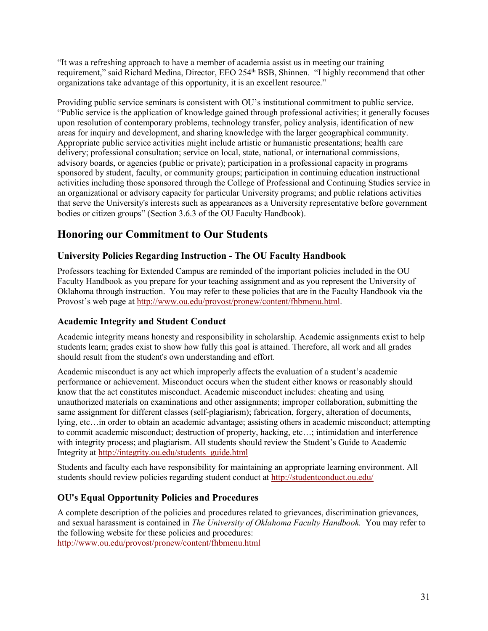"It was a refreshing approach to have a member of academia assist us in meeting our training requirement," said Richard Medina, Director, EEO 254th BSB, Shinnen. "I highly recommend that other organizations take advantage of this opportunity, it is an excellent resource."

Providing public service seminars is consistent with OU's institutional commitment to public service. "Public service is the application of knowledge gained through professional activities; it generally focuses upon resolution of contemporary problems, technology transfer, policy analysis, identification of new areas for inquiry and development, and sharing knowledge with the larger geographical community. Appropriate public service activities might include artistic or humanistic presentations; health care delivery; professional consultation; service on local, state, national, or international commissions, advisory boards, or agencies (public or private); participation in a professional capacity in programs sponsored by student, faculty, or community groups; participation in continuing education instructional activities including those sponsored through the College of Professional and Continuing Studies service in an organizational or advisory capacity for particular University programs; and public relations activities that serve the University's interests such as appearances as a University representative before government bodies or citizen groups" (Section 3.6.3 of the OU Faculty Handbook).

## **Honoring our Commitment to Our Students**

#### **University Policies Regarding Instruction - The OU Faculty Handbook**

Professors teaching for Extended Campus are reminded of the important policies included in the OU Faculty Handbook as you prepare for your teaching assignment and as you represent the University of Oklahoma through instruction. You may refer to these policies that are in the Faculty Handbook via the Provost's web page at [http://www.ou.edu/provost/pronew/content/fhbmenu.html.](http://www.ou.edu/provost/pronew/content/fhbmenu.html)

#### **Academic Integrity and Student Conduct**

Academic integrity means honesty and responsibility in scholarship. Academic assignments exist to help students learn; grades exist to show how fully this goal is attained. Therefore, all work and all grades should result from the student's own understanding and effort.

Academic misconduct is any act which improperly affects the evaluation of a student's academic performance or achievement. Misconduct occurs when the student either knows or reasonably should know that the act constitutes misconduct. Academic misconduct includes: cheating and using unauthorized materials on examinations and other assignments; improper collaboration, submitting the same assignment for different classes (self-plagiarism); fabrication, forgery, alteration of documents, lying, etc…in order to obtain an academic advantage; assisting others in academic misconduct; attempting to commit academic misconduct; destruction of property, hacking, etc…; intimidation and interference with integrity process; and plagiarism. All students should review the Student's Guide to Academic Integrity at [http://integrity.ou.edu/students\\_guide.html](http://integrity.ou.edu/students_guide.html)

Students and faculty each have responsibility for maintaining an appropriate learning environment. All students should review policies regarding student conduct at<http://studentconduct.ou.edu/>

### **OU's Equal Opportunity Policies and Procedures**

A complete description of the policies and procedures related to grievances, discrimination grievances, and sexual harassment is contained in *The University of Oklahoma Faculty Handbook.* You may refer to the following website for these policies and procedures:

<http://www.ou.edu/provost/pronew/content/fhbmenu.html>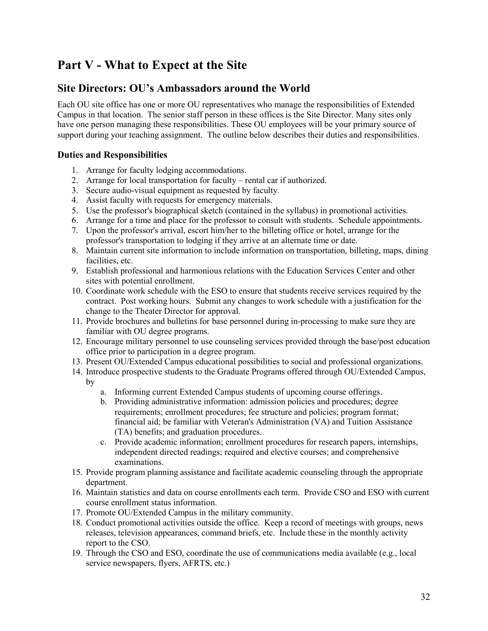# <span id="page-31-0"></span>**Part V - What to Expect at the Site**

### **Site Directors: OU's Ambassadors around the World**

Each OU site office has one or more OU representatives who manage the responsibilities of Extended Campus in that location. The senior staff person in these offices is the Site Director. Many sites only have one person managing these responsibilities. These OU employees will be your primary source of support during your teaching assignment. The outline below describes their duties and responsibilities.

#### **Duties and Responsibilities**

- 1. Arrange for faculty lodging accommodations.
- 2. Arrange for local transportation for faculty rental car if authorized.
- 3. Secure audio-visual equipment as requested by faculty.
- 4. Assist faculty with requests for emergency materials.
- 5. Use the professor's biographical sketch (contained in the syllabus) in promotional activities.
- 6. Arrange for a time and place for the professor to consult with students. Schedule appointments.
- 7. Upon the professor's arrival, escort him/her to the billeting office or hotel, arrange for the professor's transportation to lodging if they arrive at an alternate time or date.
- 8. Maintain current site information to include information on transportation, billeting, maps, dining facilities, etc.
- 9. Establish professional and harmonious relations with the Education Services Center and other sites with potential enrollment.
- 10. Coordinate work schedule with the ESO to ensure that students receive services required by the contract. Post working hours. Submit any changes to work schedule with a justification for the change to the Theater Director for approval.
- 11. Provide brochures and bulletins for base personnel during in-processing to make sure they are familiar with OU degree programs.
- 12. Encourage military personnel to use counseling services provided through the base/post education office prior to participation in a degree program.
- 13. Present OU/Extended Campus educational possibilities to social and professional organizations.
- 14. Introduce prospective students to the Graduate Programs offered through OU/Extended Campus, by
	- a. Informing current Extended Campus students of upcoming course offerings.
	- b. Providing administrative information: admission policies and procedures; degree requirements; enrollment procedures; fee structure and policies; program format; financial aid; be familiar with Veteran's Administration (VA) and Tuition Assistance (TA) benefits; and graduation procedures.
	- c. Provide academic information; enrollment procedures for research papers, internships, independent directed readings; required and elective courses; and comprehensive examinations.
- 15. Provide program planning assistance and facilitate academic counseling through the appropriate department.
- 16. Maintain statistics and data on course enrollments each term. Provide CSO and ESO with current course enrollment status information.
- 17. Promote OU/Extended Campus in the military community.
- 18. Conduct promotional activities outside the office. Keep a record of meetings with groups, news releases, television appearances, command briefs, etc. Include these in the monthly activity report to the CSO.
- 19. Through the CSO and ESO, coordinate the use of communications media available (e.g., local service newspapers, flyers, AFRTS, etc.)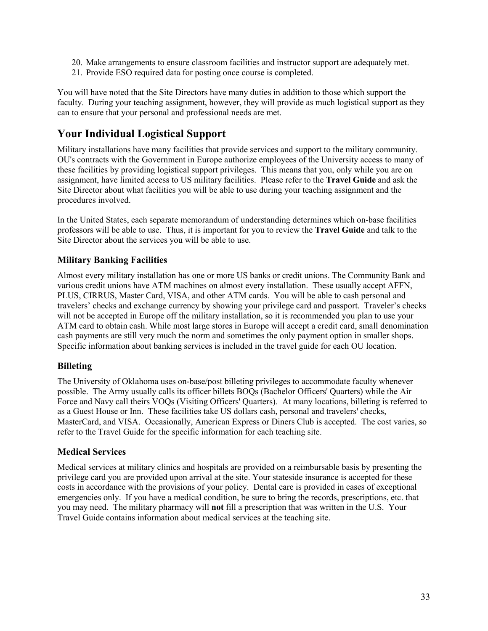- 20. Make arrangements to ensure classroom facilities and instructor support are adequately met.
- 21. Provide ESO required data for posting once course is completed.

You will have noted that the Site Directors have many duties in addition to those which support the faculty. During your teaching assignment, however, they will provide as much logistical support as they can to ensure that your personal and professional needs are met.

## **Your Individual Logistical Support**

Military installations have many facilities that provide services and support to the military community. OU's contracts with the Government in Europe authorize employees of the University access to many of these facilities by providing logistical support privileges. This means that you, only while you are on assignment, have limited access to US military facilities. Please refer to the **Travel Guide** and ask the Site Director about what facilities you will be able to use during your teaching assignment and the procedures involved.

In the United States, each separate memorandum of understanding determines which on-base facilities professors will be able to use. Thus, it is important for you to review the **Travel Guide** and talk to the Site Director about the services you will be able to use.

#### **Military Banking Facilities**

Almost every military installation has one or more US banks or credit unions. The Community Bank and various credit unions have ATM machines on almost every installation. These usually accept AFFN, PLUS, CIRRUS, Master Card, VISA, and other ATM cards. You will be able to cash personal and travelers' checks and exchange currency by showing your privilege card and passport. Traveler's checks will not be accepted in Europe off the military installation, so it is recommended you plan to use your ATM card to obtain cash. While most large stores in Europe will accept a credit card, small denomination cash payments are still very much the norm and sometimes the only payment option in smaller shops. Specific information about banking services is included in the travel guide for each OU location.

#### **Billeting**

The University of Oklahoma uses on-base/post billeting privileges to accommodate faculty whenever possible. The Army usually calls its officer billets BOQs (Bachelor Officers' Quarters) while the Air Force and Navy call theirs VOQs (Visiting Officers' Quarters). At many locations, billeting is referred to as a Guest House or Inn. These facilities take US dollars cash, personal and travelers' checks, MasterCard, and VISA. Occasionally, American Express or Diners Club is accepted. The cost varies, so refer to the Travel Guide for the specific information for each teaching site.

#### **Medical Services**

Medical services at military clinics and hospitals are provided on a reimbursable basis by presenting the privilege card you are provided upon arrival at the site. Your stateside insurance is accepted for these costs in accordance with the provisions of your policy. Dental care is provided in cases of exceptional emergencies only. If you have a medical condition, be sure to bring the records, prescriptions, etc. that you may need. The military pharmacy will **not** fill a prescription that was written in the U.S. Your Travel Guide contains information about medical services at the teaching site.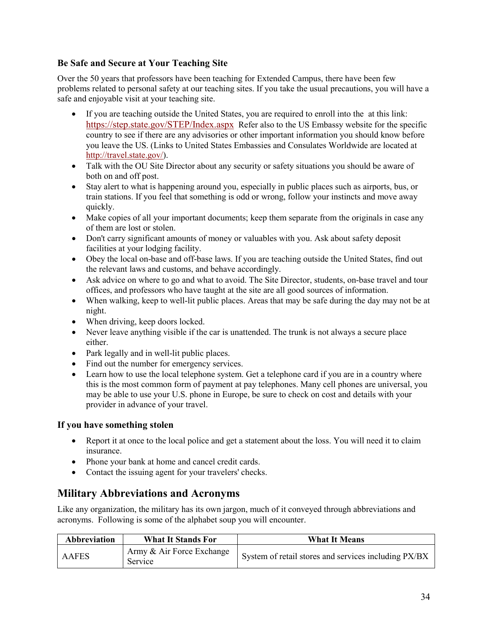#### **Be Safe and Secure at Your Teaching Site**

Over the 50 years that professors have been teaching for Extended Campus, there have been few problems related to personal safety at our teaching sites. If you take the usual precautions, you will have a safe and enjoyable visit at your teaching site.

- If you are teaching outside the United States, you are required to enroll into the at this link: <https://step.state.gov/STEP/Index.aspx>Refer also to the US Embassy website for the specific country to see if there are any advisories or other important information you should know before you leave the US. (Links to United States Embassies and Consulates Worldwide are located at [http://travel.state.gov/\)](http://travel.state.gov/).
- Talk with the OU Site Director about any security or safety situations you should be aware of both on and off post.
- Stay alert to what is happening around you, especially in public places such as airports, bus, or train stations. If you feel that something is odd or wrong, follow your instincts and move away quickly.
- Make copies of all your important documents; keep them separate from the originals in case any of them are lost or stolen.
- Don't carry significant amounts of money or valuables with you. Ask about safety deposit facilities at your lodging facility.
- Obey the local on-base and off-base laws. If you are teaching outside the United States, find out the relevant laws and customs, and behave accordingly.
- Ask advice on where to go and what to avoid. The Site Director, students, on-base travel and tour offices, and professors who have taught at the site are all good sources of information.
- When walking, keep to well-lit public places. Areas that may be safe during the day may not be at night.
- When driving, keep doors locked.
- Never leave anything visible if the car is unattended. The trunk is not always a secure place either.
- Park legally and in well-lit public places.
- Find out the number for emergency services.
- Learn how to use the local telephone system. Get a telephone card if you are in a country where this is the most common form of payment at pay telephones. Many cell phones are universal, you may be able to use your U.S. phone in Europe, be sure to check on cost and details with your provider in advance of your travel.

#### **If you have something stolen**

- Report it at once to the local police and get a statement about the loss. You will need it to claim insurance.
- Phone your bank at home and cancel credit cards.
- Contact the issuing agent for your travelers' checks.

### **Military Abbreviations and Acronyms**

Like any organization, the military has its own jargon, much of it conveyed through abbreviations and acronyms. Following is some of the alphabet soup you will encounter.

| Abbreviation | <b>What It Stands For</b>            | <b>What It Means</b>                                 |
|--------------|--------------------------------------|------------------------------------------------------|
| AAFES        | Army & Air Force Exchange<br>Service | System of retail stores and services including PX/BX |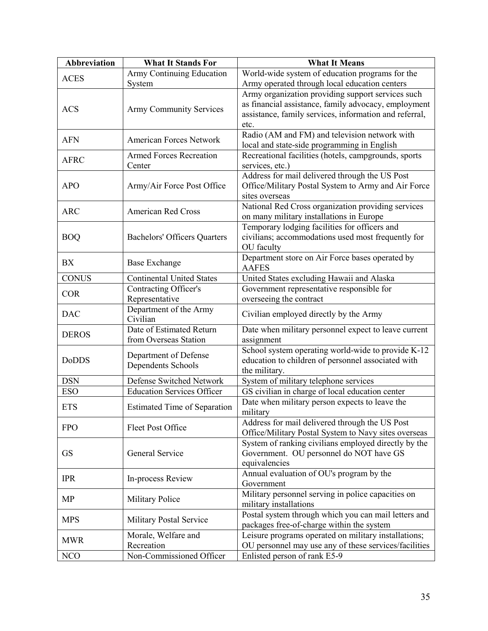| <b>Abbreviation</b> | <b>What It Stands For</b>                   | <b>What It Means</b>                                   |
|---------------------|---------------------------------------------|--------------------------------------------------------|
|                     | Army Continuing Education                   | World-wide system of education programs for the        |
| <b>ACES</b>         | System                                      | Army operated through local education centers          |
|                     |                                             | Army organization providing support services such      |
| <b>ACS</b>          |                                             | as financial assistance, family advocacy, employment   |
|                     | Army Community Services                     | assistance, family services, information and referral, |
|                     |                                             | etc.                                                   |
| <b>AFN</b>          | <b>American Forces Network</b>              | Radio (AM and FM) and television network with          |
|                     |                                             | local and state-side programming in English            |
| <b>AFRC</b>         | <b>Armed Forces Recreation</b>              | Recreational facilities (hotels, campgrounds, sports   |
|                     | Center                                      | services, etc.)                                        |
|                     |                                             | Address for mail delivered through the US Post         |
| <b>APO</b>          | Army/Air Force Post Office                  | Office/Military Postal System to Army and Air Force    |
|                     |                                             | sites overseas                                         |
| <b>ARC</b>          | <b>American Red Cross</b>                   | National Red Cross organization providing services     |
|                     |                                             | on many military installations in Europe               |
|                     |                                             | Temporary lodging facilities for officers and          |
| <b>BOQ</b>          | <b>Bachelors' Officers Quarters</b>         | civilians; accommodations used most frequently for     |
|                     |                                             | OU faculty                                             |
| BX                  | <b>Base Exchange</b>                        | Department store on Air Force bases operated by        |
|                     |                                             | <b>AAFES</b>                                           |
| <b>CONUS</b>        | <b>Continental United States</b>            | United States excluding Hawaii and Alaska              |
| <b>COR</b>          | Contracting Officer's                       | Government representative responsible for              |
|                     | Representative                              | overseeing the contract                                |
| <b>DAC</b>          | Department of the Army                      | Civilian employed directly by the Army                 |
|                     | Civilian                                    |                                                        |
| <b>DEROS</b>        | Date of Estimated Return                    | Date when military personnel expect to leave current   |
|                     | from Overseas Station                       | assignment                                             |
| <b>DoDDS</b>        | Department of Defense<br>Dependents Schools | School system operating world-wide to provide K-12     |
|                     |                                             | education to children of personnel associated with     |
| <b>DSN</b>          | Defense Switched Network                    | the military.<br>System of military telephone services |
| <b>ESO</b>          | <b>Education Services Officer</b>           | GS civilian in charge of local education center        |
|                     |                                             | Date when military person expects to leave the         |
| <b>ETS</b>          | <b>Estimated Time of Separation</b>         | military                                               |
|                     |                                             | Address for mail delivered through the US Post         |
| <b>FPO</b>          | Fleet Post Office                           | Office/Military Postal System to Navy sites overseas   |
|                     | General Service                             | System of ranking civilians employed directly by the   |
| <b>GS</b>           |                                             | Government. OU personnel do NOT have GS                |
|                     |                                             | equivalencies                                          |
|                     |                                             | Annual evaluation of OU's program by the               |
| <b>IPR</b>          | In-process Review                           | Government                                             |
|                     |                                             | Military personnel serving in police capacities on     |
| MP                  | Military Police                             | military installations                                 |
|                     |                                             | Postal system through which you can mail letters and   |
| <b>MPS</b>          | <b>Military Postal Service</b>              | packages free-of-charge within the system              |
|                     | Morale, Welfare and                         | Leisure programs operated on military installations;   |
| <b>MWR</b>          | Recreation                                  | OU personnel may use any of these services/facilities  |
| <b>NCO</b>          | Non-Commissioned Officer                    | Enlisted person of rank E5-9                           |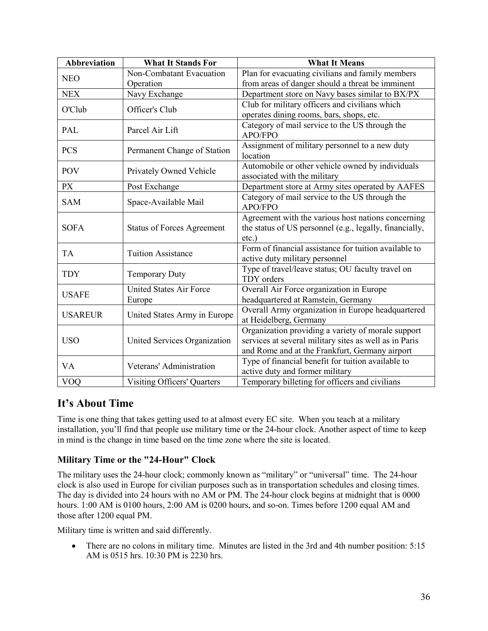| <b>Abbreviation</b> | <b>What It Stands For</b>         | <b>What It Means</b>                                                                                                                                           |  |
|---------------------|-----------------------------------|----------------------------------------------------------------------------------------------------------------------------------------------------------------|--|
| <b>NEO</b>          | Non-Combatant Evacuation          | Plan for evacuating civilians and family members                                                                                                               |  |
|                     | Operation                         | from areas of danger should a threat be imminent                                                                                                               |  |
| <b>NEX</b>          | Navy Exchange                     | Department store on Navy bases similar to BX/PX                                                                                                                |  |
| O'Club              | Officer's Club                    | Club for military officers and civilians which                                                                                                                 |  |
|                     |                                   | operates dining rooms, bars, shops, etc.                                                                                                                       |  |
| PAL                 | Parcel Air Lift                   | Category of mail service to the US through the<br><b>APO/FPO</b>                                                                                               |  |
| <b>PCS</b>          | Permanent Change of Station       | Assignment of military personnel to a new duty<br>location                                                                                                     |  |
| <b>POV</b>          | Privately Owned Vehicle           | Automobile or other vehicle owned by individuals<br>associated with the military                                                                               |  |
| <b>PX</b>           | Post Exchange                     | Department store at Army sites operated by AAFES                                                                                                               |  |
| <b>SAM</b>          | Space-Available Mail              | Category of mail service to the US through the<br>APO/FPO                                                                                                      |  |
| <b>SOFA</b>         | <b>Status of Forces Agreement</b> | Agreement with the various host nations concerning<br>the status of US personnel (e.g., legally, financially,<br>$etc.$ )                                      |  |
| <b>TA</b>           | <b>Tuition Assistance</b>         | Form of financial assistance for tuition available to<br>active duty military personnel                                                                        |  |
| <b>TDY</b>          | <b>Temporary Duty</b>             | Type of travel/leave status; OU faculty travel on<br>TDY orders                                                                                                |  |
| <b>USAFE</b>        | <b>United States Air Force</b>    | Overall Air Force organization in Europe                                                                                                                       |  |
|                     | Europe                            | headquartered at Ramstein, Germany                                                                                                                             |  |
| <b>USAREUR</b>      | United States Army in Europe      | Overall Army organization in Europe headquartered<br>at Heidelberg, Germany                                                                                    |  |
| <b>USO</b>          | United Services Organization      | Organization providing a variety of morale support<br>services at several military sites as well as in Paris<br>and Rome and at the Frankfurt, Germany airport |  |
| <b>VA</b>           | Veterans' Administration          | Type of financial benefit for tuition available to<br>active duty and former military                                                                          |  |
| VOQ                 | Visiting Officers' Quarters       | Temporary billeting for officers and civilians                                                                                                                 |  |

### **It's About Time**

Time is one thing that takes getting used to at almost every EC site. When you teach at a military installation, you'll find that people use military time or the 24-hour clock. Another aspect of time to keep in mind is the change in time based on the time zone where the site is located.

### **Military Time or the "24-Hour" Clock**

The military uses the 24-hour clock; commonly known as "military" or "universal" time. The 24-hour clock is also used in Europe for civilian purposes such as in transportation schedules and closing times. The day is divided into 24 hours with no AM or PM. The 24-hour clock begins at midnight that is 0000 hours. 1:00 AM is 0100 hours, 2:00 AM is 0200 hours, and so-on. Times before 1200 equal AM and those after 1200 equal PM.

Military time is written and said differently.

• There are no colons in military time. Minutes are listed in the 3rd and 4th number position: 5:15 AM is 0515 hrs. 10:30 PM is 2230 hrs.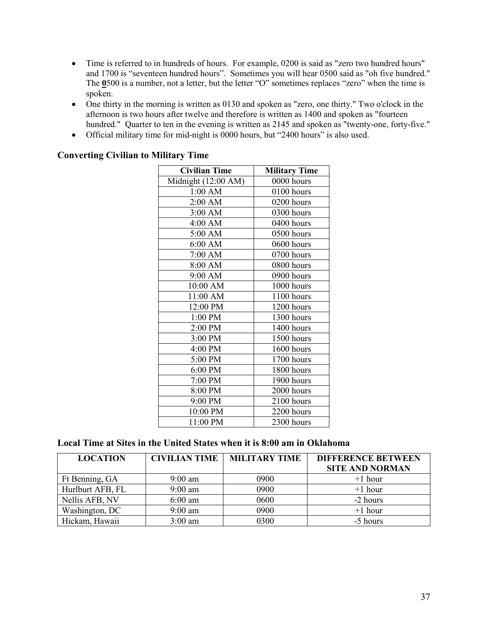- Time is referred to in hundreds of hours. For example, 0200 is said as "zero two hundred hours" and 1700 is "seventeen hundred hours". Sometimes you will hear 0500 said as "oh five hundred." The **0**500 is a number, not a letter, but the letter "O" sometimes replaces "zero" when the time is spoken.
- One thirty in the morning is written as 0130 and spoken as "zero, one thirty." Two o'clock in the afternoon is two hours after twelve and therefore is written as 1400 and spoken as "fourteen hundred." Quarter to ten in the evening is written as 2145 and spoken as "twenty-one, forty-five."
- Official military time for mid-night is 0000 hours, but "2400 hours" is also used.

| <b>Civilian Time</b> | <b>Military Time</b> |
|----------------------|----------------------|
| Midnight (12:00 AM)  | 0000 hours           |
| 1:00 AM              | 0100 hours           |
| 2:00 AM              | 0200 hours           |
| 3:00 AM              | 0300 hours           |
| 4:00 AM              | 0400 hours           |
| 5:00 AM              | 0500 hours           |
| 6:00 AM              | 0600 hours           |
| 7:00 AM              | 0700 hours           |
| 8:00 AM              | 0800 hours           |
| 9:00 AM              | 0900 hours           |
| 10:00 AM             | 1000 hours           |
| 11:00 AM             | 1100 hours           |
| 12:00 PM             | 1200 hours           |
| 1:00 PM              | 1300 hours           |
| 2:00 PM              | 1400 hours           |
| 3:00 PM              | 1500 hours           |
| 4:00 PM              | 1600 hours           |
| 5:00 PM              | 1700 hours           |
| 6:00 PM              | 1800 hours           |
| 7:00 PM              | 1900 hours           |
| 8:00 PM              | 2000 hours           |
| 9:00 PM              | 2100 hours           |
| 10:00 PM             | 2200 hours           |
| 11:00 PM             | 2300 hours           |

#### **Converting Civilian to Military Time**

#### **Local Time at Sites in the United States when it is 8:00 am in Oklahoma**

| <b>LOCATION</b>  | <b>CIVILIAN TIME</b> | <b>MILITARY TIME</b> | <b>DIFFERENCE BETWEEN</b> |
|------------------|----------------------|----------------------|---------------------------|
|                  |                      |                      | <b>SITE AND NORMAN</b>    |
| Ft Benning, GA   | $9:00 \text{ am}$    | 0900                 | $+1$ hour                 |
| Hurlburt AFB, FL | $9:00$ am            | 0900                 | $+1$ hour                 |
| Nellis AFB, NV   | $6:00 \text{ am}$    | 0600                 | -2 hours                  |
| Washington, DC   | $9:00$ am            | 0900                 | $+1$ hour                 |
| Hickam, Hawaii   | $3:00$ am            | 0300                 | -5 hours                  |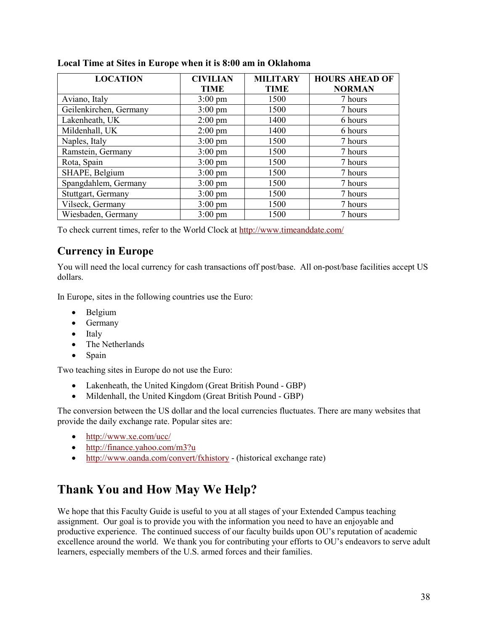| <b>LOCATION</b>        | <b>CIVILIAN</b>   | <b>MILITARY</b> | <b>HOURS AHEAD OF</b> |
|------------------------|-------------------|-----------------|-----------------------|
|                        | <b>TIME</b>       | <b>TIME</b>     | <b>NORMAN</b>         |
| Aviano, Italy          | $3:00 \text{ pm}$ | 1500            | 7 hours               |
| Geilenkirchen, Germany | $3:00 \text{ pm}$ | 1500            | 7 hours               |
| Lakenheath, UK         | $2:00 \text{ pm}$ | 1400            | 6 hours               |
| Mildenhall, UK         | $2:00 \text{ pm}$ | 1400            | 6 hours               |
| Naples, Italy          | $3:00 \text{ pm}$ | 1500            | 7 hours               |
| Ramstein, Germany      | $3:00 \text{ pm}$ | 1500            | 7 hours               |
| Rota, Spain            | $3:00 \text{ pm}$ | 1500            | 7 hours               |
| SHAPE, Belgium         | $3:00 \text{ pm}$ | 1500            | 7 hours               |
| Spangdahlem, Germany   | $3:00 \text{ pm}$ | 1500            | 7 hours               |
| Stuttgart, Germany     | $3:00 \text{ pm}$ | 1500            | 7 hours               |
| Vilseck, Germany       | $3:00 \text{ pm}$ | 1500            | 7 hours               |
| Wiesbaden, Germany     | $3:00 \text{ pm}$ | 1500            | 7 hours               |

**Local Time at Sites in Europe when it is 8:00 am in Oklahoma**

To check current times, refer to the World Clock at<http://www.timeanddate.com/>

# **Currency in Europe**

You will need the local currency for cash transactions off post/base. All on-post/base facilities accept US dollars.

In Europe, sites in the following countries use the Euro:

- Belgium
- Germany
- Italy
- The Netherlands
- Spain

Two teaching sites in Europe do not use the Euro:

- Lakenheath, the United Kingdom (Great British Pound GBP)
- Mildenhall, the United Kingdom (Great British Pound GBP)

The conversion between the US dollar and the local currencies fluctuates. There are many websites that provide the daily exchange rate. Popular sites are:

- <http://www.xe.com/ucc/>
- <http://finance.yahoo.com/m3?u>
- <http://www.oanda.com/convert/fxhistory> (historical exchange rate)

# <span id="page-37-0"></span>**Thank You and How May We Help?**

We hope that this Faculty Guide is useful to you at all stages of your Extended Campus teaching assignment. Our goal is to provide you with the information you need to have an enjoyable and productive experience. The continued success of our faculty builds upon OU's reputation of academic excellence around the world. We thank you for contributing your efforts to OU's endeavors to serve adult learners, especially members of the U.S. armed forces and their families.